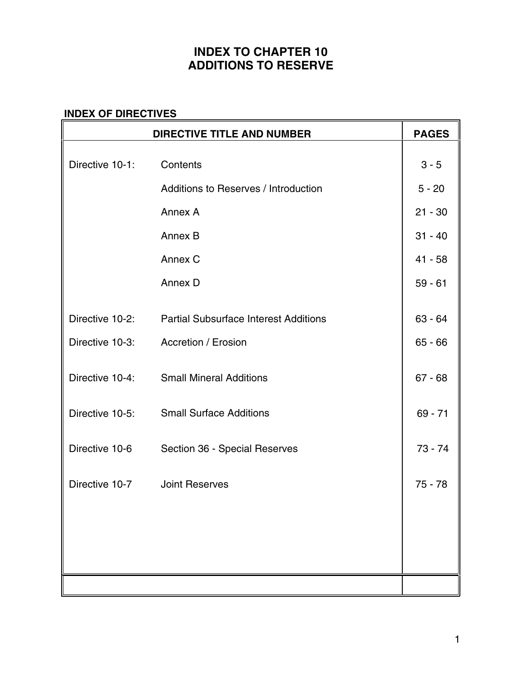# **INDEX TO CHAPTER 10 ADDITIONS TO RESERVE**

#### **INDEX OF DIRECTIVES**

|                 | <b>DIRECTIVE TITLE AND NUMBER</b>            | <b>PAGES</b> |
|-----------------|----------------------------------------------|--------------|
| Directive 10-1: | Contents                                     | $3 - 5$      |
|                 | Additions to Reserves / Introduction         | $5 - 20$     |
|                 | Annex A                                      | $21 - 30$    |
|                 | Annex B                                      | $31 - 40$    |
|                 | Annex C                                      | $41 - 58$    |
|                 | Annex D                                      | $59 - 61$    |
| Directive 10-2: | <b>Partial Subsurface Interest Additions</b> | $63 - 64$    |
| Directive 10-3: | Accretion / Erosion                          | $65 - 66$    |
| Directive 10-4: | <b>Small Mineral Additions</b>               | $67 - 68$    |
| Directive 10-5: | <b>Small Surface Additions</b>               | $69 - 71$    |
| Directive 10-6  | Section 36 - Special Reserves                | $73 - 74$    |
|                 | Directive 10-7 Joint Reserves                | $75 - 78$    |
|                 |                                              |              |
|                 |                                              |              |
|                 |                                              |              |
|                 |                                              |              |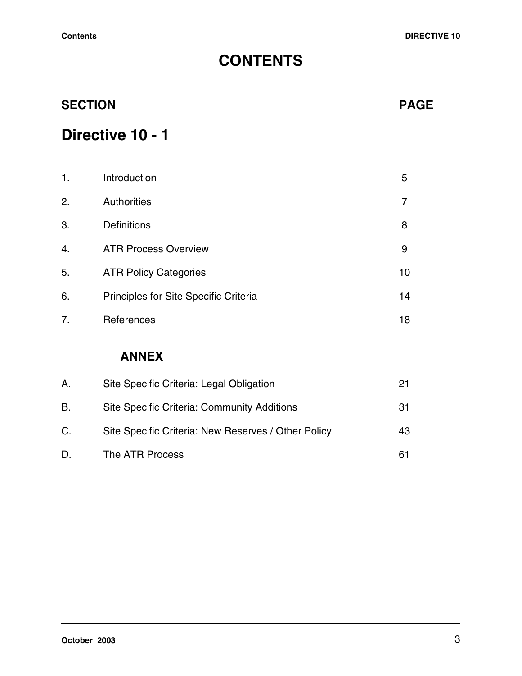# **CONTENTS**

| <b>SECTION</b> | <b>PAGE</b>                           |    |
|----------------|---------------------------------------|----|
|                | Directive 10 - 1                      |    |
| 1.             | Introduction                          | 5  |
| 2.             | Authorities                           | 7  |
| 3.             | <b>Definitions</b>                    | 8  |
| 4.             | <b>ATR Process Overview</b>           | 9  |
| 5.             | <b>ATR Policy Categories</b>          | 10 |
| 6.             | Principles for Site Specific Criteria | 14 |
| 7.             | References                            | 18 |
|                | <b>ANNEX</b>                          |    |

| A. | Site Specific Criteria: Legal Obligation            |    |
|----|-----------------------------------------------------|----|
| В. | Site Specific Criteria: Community Additions         | 31 |
| C. | Site Specific Criteria: New Reserves / Other Policy | 43 |
| D. | The ATR Process                                     | 61 |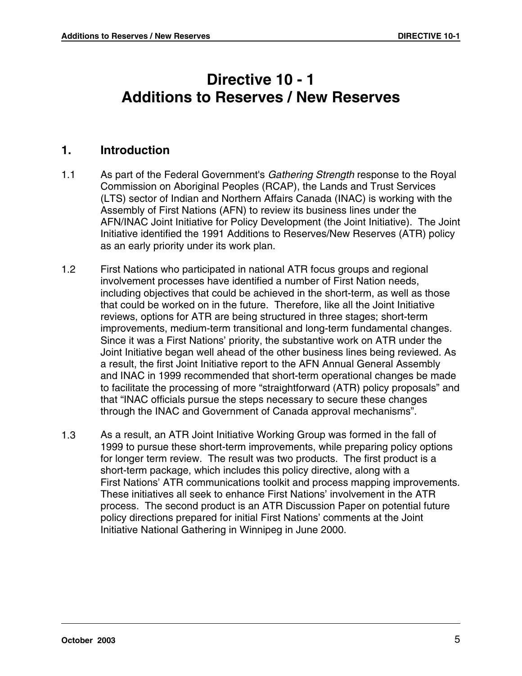# **Directive 10 - 1 Additions to Reserves / New Reserves**

#### **1. Introduction**

- 1.1 As part of the Federal Government's Gathering Strength response to the Royal Commission on Aboriginal Peoples (RCAP), the Lands and Trust Services (LTS) sector of Indian and Northern Affairs Canada (INAC) is working with the Assembly of First Nations (AFN) to review its business lines under the AFN/INAC Joint Initiative for Policy Development (the Joint Initiative). The Joint Initiative identified the 1991 Additions to Reserves/New Reserves (ATR) policy as an early priority under its work plan.
- 1.2 First Nations who participated in national ATR focus groups and regional involvement processes have identified a number of First Nation needs, including objectives that could be achieved in the short-term, as well as those that could be worked on in the future. Therefore, like all the Joint Initiative reviews, options for ATR are being structured in three stages; short-term improvements, medium-term transitional and long-term fundamental changes. Since it was a First Nations' priority, the substantive work on ATR under the Joint Initiative began well ahead of the other business lines being reviewed. As a result, the first Joint Initiative report to the AFN Annual General Assembly and INAC in 1999 recommended that short-term operational changes be made to facilitate the processing of more "straightforward (ATR) policy proposals" and that "INAC officials pursue the steps necessary to secure these changes through the INAC and Government of Canada approval mechanisms".
- 1.3 As a result, an ATR Joint Initiative Working Group was formed in the fall of 1999 to pursue these short-term improvements, while preparing policy options for longer term review. The result was two products. The first product is a short-term package, which includes this policy directive, along with a First Nations' ATR communications toolkit and process mapping improvements. These initiatives all seek to enhance First Nations' involvement in the ATR process. The second product is an ATR Discussion Paper on potential future policy directions prepared for initial First Nations' comments at the Joint Initiative National Gathering in Winnipeg in June 2000.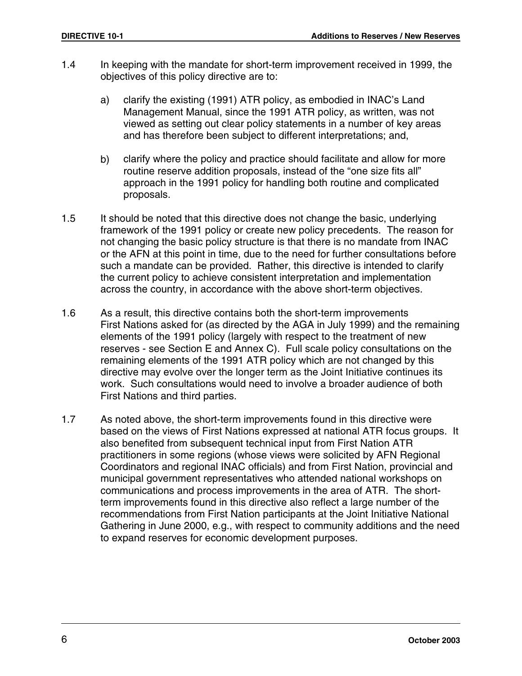- 1.4 In keeping with the mandate for short-term improvement received in 1999, the objectives of this policy directive are to:
	- a) clarify the existing (1991) ATR policy, as embodied in INAC's Land Management Manual, since the 1991 ATR policy, as written, was not viewed as setting out clear policy statements in a number of key areas and has therefore been subject to different interpretations; and,
	- b) clarify where the policy and practice should facilitate and allow for more routine reserve addition proposals, instead of the "one size fits all" approach in the 1991 policy for handling both routine and complicated proposals.
- 1.5 It should be noted that this directive does not change the basic, underlying framework of the 1991 policy or create new policy precedents. The reason for not changing the basic policy structure is that there is no mandate from INAC or the AFN at this point in time, due to the need for further consultations before such a mandate can be provided. Rather, this directive is intended to clarify the current policy to achieve consistent interpretation and implementation across the country, in accordance with the above short-term objectives.
- 1.6 As a result, this directive contains both the short-term improvements First Nations asked for (as directed by the AGA in July 1999) and the remaining elements of the 1991 policy (largely with respect to the treatment of new reserves - see Section E and Annex C). Full scale policy consultations on the remaining elements of the 1991 ATR policy which are not changed by this directive may evolve over the longer term as the Joint Initiative continues its work. Such consultations would need to involve a broader audience of both First Nations and third parties.
- 1.7 As noted above, the short-term improvements found in this directive were based on the views of First Nations expressed at national ATR focus groups. It also benefited from subsequent technical input from First Nation ATR practitioners in some regions (whose views were solicited by AFN Regional Coordinators and regional INAC officials) and from First Nation, provincial and municipal government representatives who attended national workshops on communications and process improvements in the area of ATR. The shortterm improvements found in this directive also reflect a large number of the recommendations from First Nation participants at the Joint Initiative National Gathering in June 2000, e.g., with respect to community additions and the need to expand reserves for economic development purposes.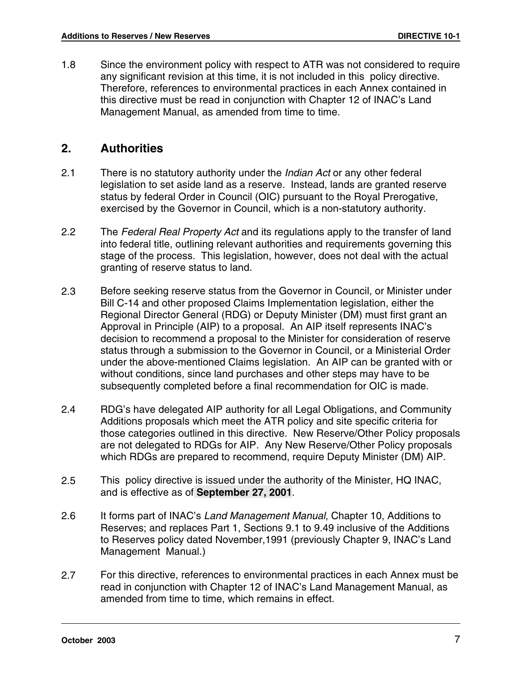1.8 Since the environment policy with respect to ATR was not considered to require any significant revision at this time, it is not included in this policy directive. Therefore, references to environmental practices in each Annex contained in this directive must be read in conjunction with Chapter 12 of INAC's Land Management Manual, as amended from time to time.

#### **2. Authorities**

- 2.1 There is no statutory authority under the *Indian Act* or any other federal legislation to set aside land as a reserve. Instead, lands are granted reserve status by federal Order in Council (OIC) pursuant to the Royal Prerogative, exercised by the Governor in Council, which is a non-statutory authority.
- 2.2 The Federal Real Property Act and its regulations apply to the transfer of land into federal title, outlining relevant authorities and requirements governing this stage of the process. This legislation, however, does not deal with the actual granting of reserve status to land.
- 2.3 Before seeking reserve status from the Governor in Council, or Minister under Bill C-14 and other proposed Claims Implementation legislation, either the Regional Director General (RDG) or Deputy Minister (DM) must first grant an Approval in Principle (AIP) to a proposal. An AIP itself represents INAC's decision to recommend a proposal to the Minister for consideration of reserve status through a submission to the Governor in Council, or a Ministerial Order under the above-mentioned Claims legislation. An AIP can be granted with or without conditions, since land purchases and other steps may have to be subsequently completed before a final recommendation for OIC is made.
- 2.4 RDG's have delegated AIP authority for all Legal Obligations, and Community Additions proposals which meet the ATR policy and site specific criteria for those categories outlined in this directive. New Reserve/Other Policy proposals are not delegated to RDGs for AIP. Any New Reserve/Other Policy proposals which RDGs are prepared to recommend, require Deputy Minister (DM) AIP.
- 2.5 This policy directive is issued under the authority of the Minister, HQ INAC, and is effective as of **September 27, 2001**.
- 2.6 It forms part of INAC's Land Management Manual, Chapter 10, Additions to Reserves; and replaces Part 1, Sections 9.1 to 9.49 inclusive of the Additions to Reserves policy dated November,1991 (previously Chapter 9, INAC's Land Management Manual.)
- 2.7 For this directive, references to environmental practices in each Annex must be read in conjunction with Chapter 12 of INAC's Land Management Manual, as amended from time to time, which remains in effect.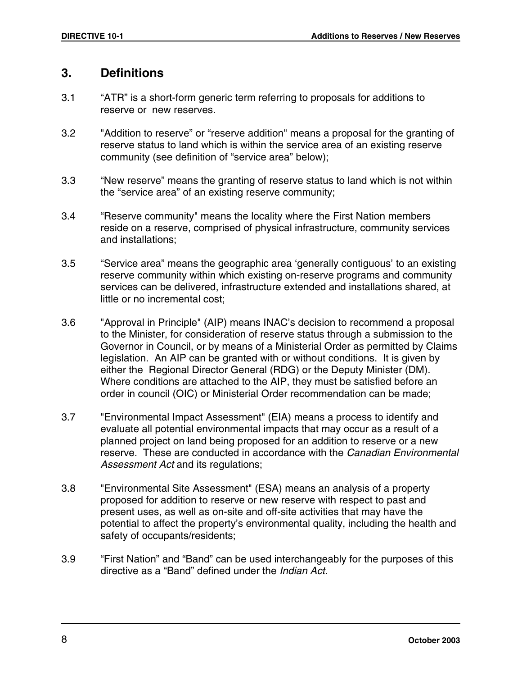#### **3. Definitions**

- 3.1 "ATR" is a short-form generic term referring to proposals for additions to reserve or new reserves.
- 3.2 "Addition to reserve" or "reserve addition" means a proposal for the granting of reserve status to land which is within the service area of an existing reserve community (see definition of "service area" below);
- 3.3 "New reserve" means the granting of reserve status to land which is not within the "service area" of an existing reserve community;
- 3.4 "Reserve community" means the locality where the First Nation members reside on a reserve, comprised of physical infrastructure, community services and installations;
- 3.5 "Service area" means the geographic area 'generally contiguous' to an existing reserve community within which existing on-reserve programs and community services can be delivered, infrastructure extended and installations shared, at little or no incremental cost;
- 3.6 "Approval in Principle" (AIP) means INAC's decision to recommend a proposal to the Minister, for consideration of reserve status through a submission to the Governor in Council, or by means of a Ministerial Order as permitted by Claims legislation. An AIP can be granted with or without conditions. It is given by either the Regional Director General (RDG) or the Deputy Minister (DM). Where conditions are attached to the AIP, they must be satisfied before an order in council (OIC) or Ministerial Order recommendation can be made;
- 3.7 "Environmental Impact Assessment" (EIA) means a process to identify and evaluate all potential environmental impacts that may occur as a result of a planned project on land being proposed for an addition to reserve or a new reserve. These are conducted in accordance with the Canadian Environmental Assessment Act and its regulations;
- 3.8 "Environmental Site Assessment" (ESA) means an analysis of a property proposed for addition to reserve or new reserve with respect to past and present uses, as well as on-site and off-site activities that may have the potential to affect the property's environmental quality, including the health and safety of occupants/residents;
- 3.9 "First Nation" and "Band" can be used interchangeably for the purposes of this directive as a "Band" defined under the Indian Act.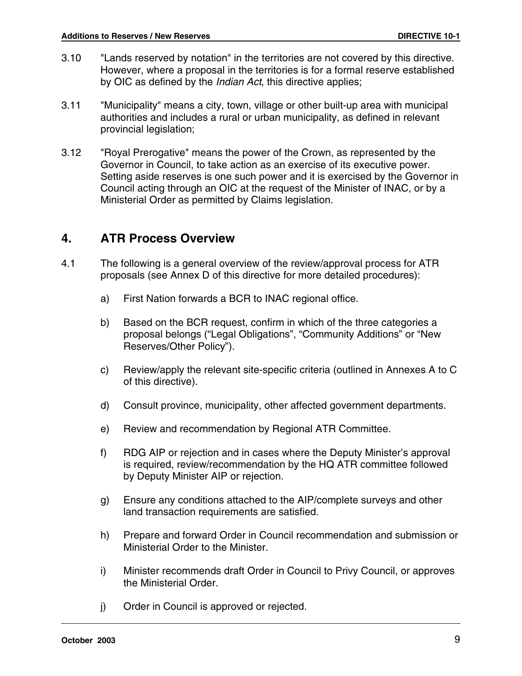- 3.10 "Lands reserved by notation" in the territories are not covered by this directive. However, where a proposal in the territories is for a formal reserve established by OIC as defined by the *Indian Act*, this directive applies;
- 3.11 "Municipality" means a city, town, village or other built-up area with municipal authorities and includes a rural or urban municipality, as defined in relevant provincial legislation;
- 3.12 "Royal Prerogative" means the power of the Crown, as represented by the Governor in Council, to take action as an exercise of its executive power. Setting aside reserves is one such power and it is exercised by the Governor in Council acting through an OIC at the request of the Minister of INAC, or by a Ministerial Order as permitted by Claims legislation.

# **4. ATR Process Overview**

- 4.1 The following is a general overview of the review/approval process for ATR proposals (see Annex D of this directive for more detailed procedures):
	- a) First Nation forwards a BCR to INAC regional office.
	- b) Based on the BCR request, confirm in which of the three categories a proposal belongs ("Legal Obligations", "Community Additions" or "New Reserves/Other Policy").
	- c) Review/apply the relevant site-specific criteria (outlined in Annexes A to C of this directive).
	- d) Consult province, municipality, other affected government departments.
	- e) Review and recommendation by Regional ATR Committee.
	- f) RDG AIP or rejection and in cases where the Deputy Minister's approval is required, review/recommendation by the HQ ATR committee followed by Deputy Minister AIP or rejection.
	- g) Ensure any conditions attached to the AIP/complete surveys and other land transaction requirements are satisfied.
	- h) Prepare and forward Order in Council recommendation and submission or Ministerial Order to the Minister.
	- i) Minister recommends draft Order in Council to Privy Council, or approves the Ministerial Order.
	- j) Order in Council is approved or rejected.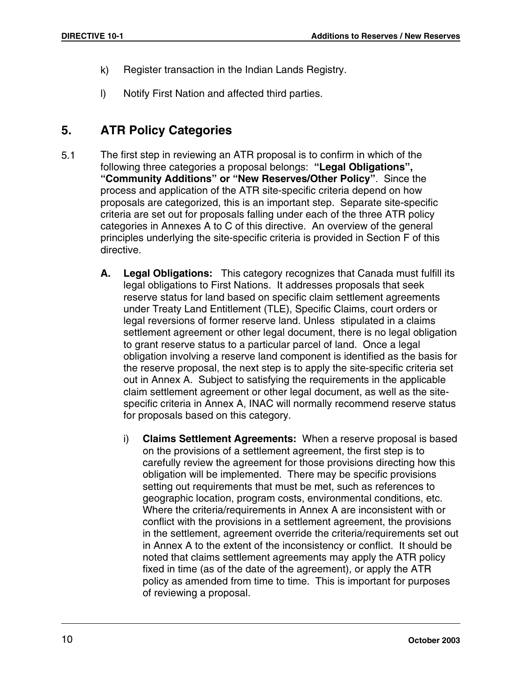- k) Register transaction in the Indian Lands Registry.
- l) Notify First Nation and affected third parties.

# **5. ATR Policy Categories**

- 5.1 The first step in reviewing an ATR proposal is to confirm in which of the following three categories a proposal belongs: **"Legal Obligations", "Community Additions" or "New Reserves/Other Policy"**. Since the process and application of the ATR site-specific criteria depend on how proposals are categorized, this is an important step. Separate site-specific criteria are set out for proposals falling under each of the three ATR policy categories in Annexes A to C of this directive. An overview of the general principles underlying the site-specific criteria is provided in Section F of this directive.
	- **A. Legal Obligations:** This category recognizes that Canada must fulfill its legal obligations to First Nations. It addresses proposals that seek reserve status for land based on specific claim settlement agreements under Treaty Land Entitlement (TLE), Specific Claims, court orders or legal reversions of former reserve land. Unless stipulated in a claims settlement agreement or other legal document, there is no legal obligation to grant reserve status to a particular parcel of land. Once a legal obligation involving a reserve land component is identified as the basis for the reserve proposal, the next step is to apply the site-specific criteria set out in Annex A. Subject to satisfying the requirements in the applicable claim settlement agreement or other legal document, as well as the sitespecific criteria in Annex A, INAC will normally recommend reserve status for proposals based on this category.
		- i) **Claims Settlement Agreements:** When a reserve proposal is based on the provisions of a settlement agreement, the first step is to carefully review the agreement for those provisions directing how this obligation will be implemented. There may be specific provisions setting out requirements that must be met, such as references to geographic location, program costs, environmental conditions, etc. Where the criteria/requirements in Annex A are inconsistent with or conflict with the provisions in a settlement agreement, the provisions in the settlement, agreement override the criteria/requirements set out in Annex A to the extent of the inconsistency or conflict. It should be noted that claims settlement agreements may apply the ATR policy fixed in time (as of the date of the agreement), or apply the ATR policy as amended from time to time. This is important for purposes of reviewing a proposal.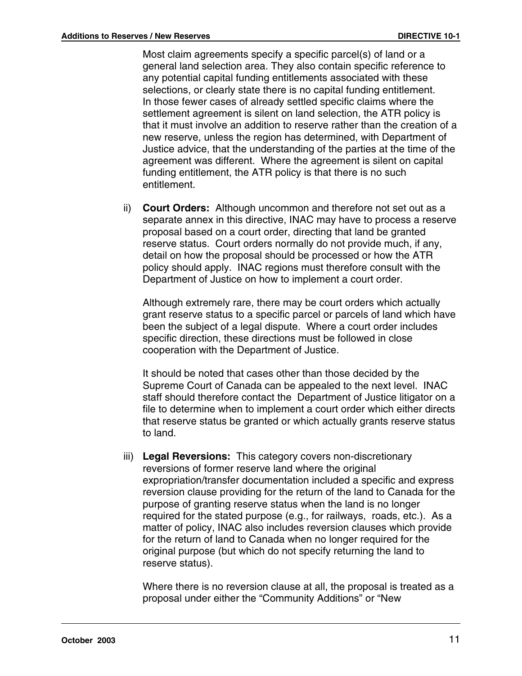Most claim agreements specify a specific parcel(s) of land or a general land selection area. They also contain specific reference to any potential capital funding entitlements associated with these selections, or clearly state there is no capital funding entitlement. In those fewer cases of already settled specific claims where the settlement agreement is silent on land selection, the ATR policy is that it must involve an addition to reserve rather than the creation of a new reserve, unless the region has determined, with Department of Justice advice, that the understanding of the parties at the time of the agreement was different. Where the agreement is silent on capital funding entitlement, the ATR policy is that there is no such entitlement.

ii) **Court Orders:** Although uncommon and therefore not set out as a separate annex in this directive, INAC may have to process a reserve proposal based on a court order, directing that land be granted reserve status. Court orders normally do not provide much, if any, detail on how the proposal should be processed or how the ATR policy should apply. INAC regions must therefore consult with the Department of Justice on how to implement a court order.

Although extremely rare, there may be court orders which actually grant reserve status to a specific parcel or parcels of land which have been the subject of a legal dispute. Where a court order includes specific direction, these directions must be followed in close cooperation with the Department of Justice.

It should be noted that cases other than those decided by the Supreme Court of Canada can be appealed to the next level. INAC staff should therefore contact the Department of Justice litigator on a file to determine when to implement a court order which either directs that reserve status be granted or which actually grants reserve status to land.

iii) **Legal Reversions:** This category covers non-discretionary reversions of former reserve land where the original expropriation/transfer documentation included a specific and express reversion clause providing for the return of the land to Canada for the purpose of granting reserve status when the land is no longer required for the stated purpose (e.g., for railways, roads, etc.). As a matter of policy, INAC also includes reversion clauses which provide for the return of land to Canada when no longer required for the original purpose (but which do not specify returning the land to reserve status).

Where there is no reversion clause at all, the proposal is treated as a proposal under either the "Community Additions" or "New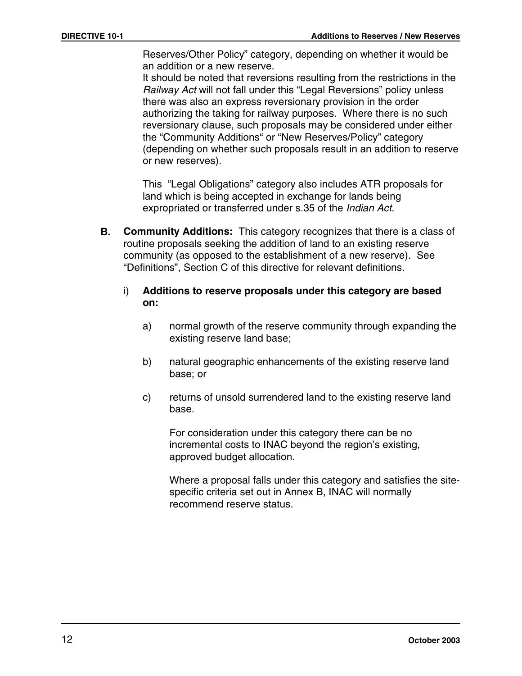Reserves/Other Policy" category, depending on whether it would be an addition or a new reserve.

It should be noted that reversions resulting from the restrictions in the Railway Act will not fall under this "Legal Reversions" policy unless there was also an express reversionary provision in the order authorizing the taking for railway purposes. Where there is no such reversionary clause, such proposals may be considered under either the "Community Additions" or "New Reserves/Policy" category (depending on whether such proposals result in an addition to reserve or new reserves).

This "Legal Obligations" category also includes ATR proposals for land which is being accepted in exchange for lands being expropriated or transferred under s.35 of the Indian Act.

- **B. Community Additions:** This category recognizes that there is a class of routine proposals seeking the addition of land to an existing reserve community (as opposed to the establishment of a new reserve). See "Definitions", Section C of this directive for relevant definitions.
	- i) **Additions to reserve proposals under this category are based on:**
		- a) normal growth of the reserve community through expanding the existing reserve land base;
		- b) natural geographic enhancements of the existing reserve land base; or
		- c) returns of unsold surrendered land to the existing reserve land base.

For consideration under this category there can be no incremental costs to INAC beyond the region's existing, approved budget allocation.

Where a proposal falls under this category and satisfies the sitespecific criteria set out in Annex B, INAC will normally recommend reserve status.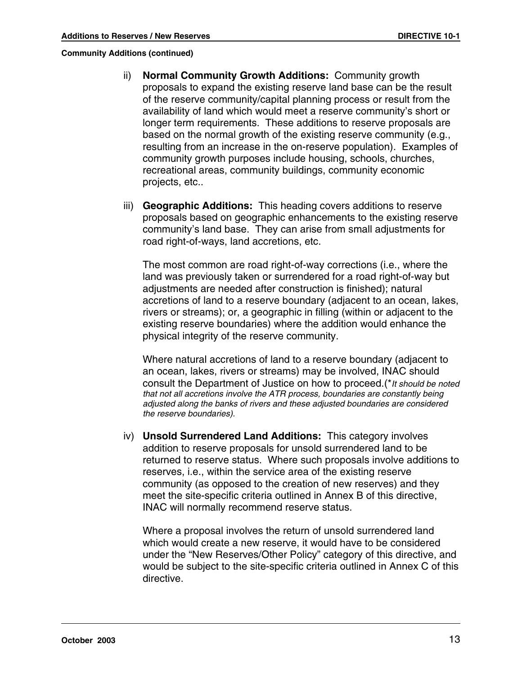**Community Additions (continued)**

- ii) **Normal Community Growth Additions:** Community growth proposals to expand the existing reserve land base can be the result of the reserve community/capital planning process or result from the availability of land which would meet a reserve community's short or longer term requirements. These additions to reserve proposals are based on the normal growth of the existing reserve community (e.g., resulting from an increase in the on-reserve population). Examples of community growth purposes include housing, schools, churches, recreational areas, community buildings, community economic projects, etc..
- iii) **Geographic Additions:** This heading covers additions to reserve proposals based on geographic enhancements to the existing reserve community's land base. They can arise from small adjustments for road right-of-ways, land accretions, etc.

The most common are road right-of-way corrections (i.e., where the land was previously taken or surrendered for a road right-of-way but adjustments are needed after construction is finished); natural accretions of land to a reserve boundary (adjacent to an ocean, lakes, rivers or streams); or, a geographic in filling (within or adjacent to the existing reserve boundaries) where the addition would enhance the physical integrity of the reserve community.

Where natural accretions of land to a reserve boundary (adjacent to an ocean, lakes, rivers or streams) may be involved, INAC should consult the Department of Justice on how to proceed.(\*It should be noted that not all accretions involve the ATR process, boundaries are constantly being adjusted along the banks of rivers and these adjusted boundaries are considered the reserve boundaries).

iv) **Unsold Surrendered Land Additions:** This category involves addition to reserve proposals for unsold surrendered land to be returned to reserve status. Where such proposals involve additions to reserves, i.e., within the service area of the existing reserve community (as opposed to the creation of new reserves) and they meet the site-specific criteria outlined in Annex B of this directive, INAC will normally recommend reserve status.

Where a proposal involves the return of unsold surrendered land which would create a new reserve, it would have to be considered under the "New Reserves/Other Policy" category of this directive, and would be subject to the site-specific criteria outlined in Annex C of this directive.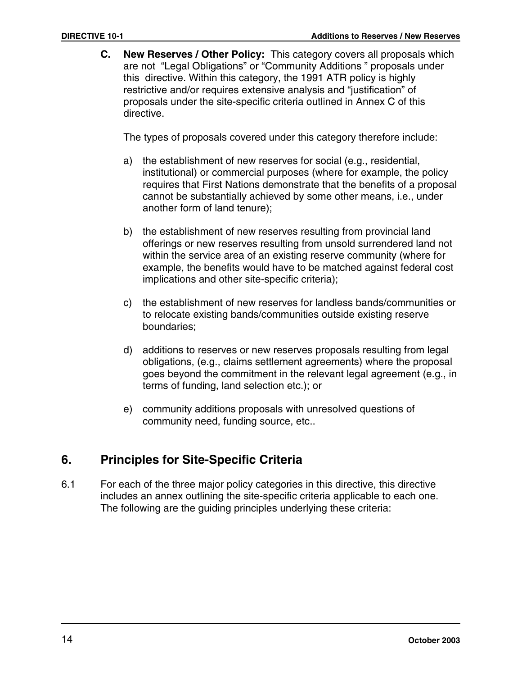**C. New Reserves / Other Policy:** This category covers all proposals which are not "Legal Obligations" or "Community Additions " proposals under this directive. Within this category, the 1991 ATR policy is highly restrictive and/or requires extensive analysis and "justification" of proposals under the site-specific criteria outlined in Annex C of this directive.

The types of proposals covered under this category therefore include:

- a) the establishment of new reserves for social (e.g., residential, institutional) or commercial purposes (where for example, the policy requires that First Nations demonstrate that the benefits of a proposal cannot be substantially achieved by some other means, i.e., under another form of land tenure);
- b) the establishment of new reserves resulting from provincial land offerings or new reserves resulting from unsold surrendered land not within the service area of an existing reserve community (where for example, the benefits would have to be matched against federal cost implications and other site-specific criteria);
- c) the establishment of new reserves for landless bands/communities or to relocate existing bands/communities outside existing reserve boundaries;
- d) additions to reserves or new reserves proposals resulting from legal obligations, (e.g., claims settlement agreements) where the proposal goes beyond the commitment in the relevant legal agreement (e.g., in terms of funding, land selection etc.); or
- e) community additions proposals with unresolved questions of community need, funding source, etc..

# **6. Principles for Site-Specific Criteria**

6.1 For each of the three major policy categories in this directive, this directive includes an annex outlining the site-specific criteria applicable to each one. The following are the guiding principles underlying these criteria: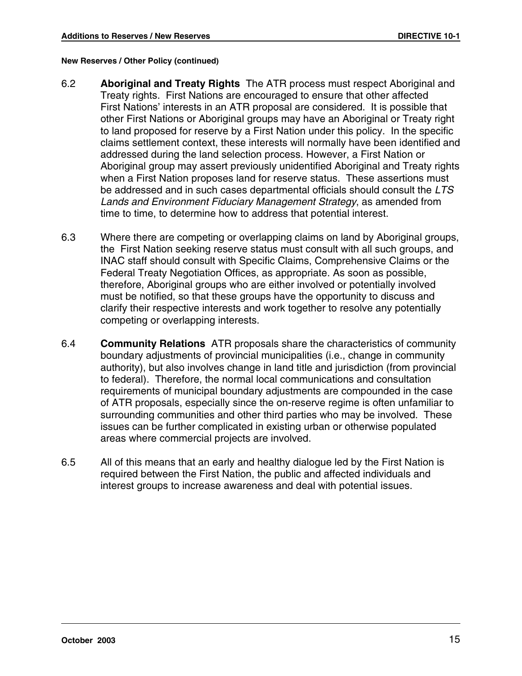#### **New Reserves / Other Policy (continued)**

- 6.2 **Aboriginal and Treaty Rights** The ATR process must respect Aboriginal and Treaty rights. First Nations are encouraged to ensure that other affected First Nations' interests in an ATR proposal are considered. It is possible that other First Nations or Aboriginal groups may have an Aboriginal or Treaty right to land proposed for reserve by a First Nation under this policy. In the specific claims settlement context, these interests will normally have been identified and addressed during the land selection process. However, a First Nation or Aboriginal group may assert previously unidentified Aboriginal and Treaty rights when a First Nation proposes land for reserve status. These assertions must be addressed and in such cases departmental officials should consult the LTS Lands and Environment Fiduciary Management Strategy, as amended from time to time, to determine how to address that potential interest.
- 6.3 Where there are competing or overlapping claims on land by Aboriginal groups, the First Nation seeking reserve status must consult with all such groups, and INAC staff should consult with Specific Claims, Comprehensive Claims or the Federal Treaty Negotiation Offices, as appropriate. As soon as possible, therefore, Aboriginal groups who are either involved or potentially involved must be notified, so that these groups have the opportunity to discuss and clarify their respective interests and work together to resolve any potentially competing or overlapping interests.
- 6.4 **Community Relations** ATR proposals share the characteristics of community boundary adjustments of provincial municipalities (i.e., change in community authority), but also involves change in land title and jurisdiction (from provincial to federal). Therefore, the normal local communications and consultation requirements of municipal boundary adjustments are compounded in the case of ATR proposals, especially since the on-reserve regime is often unfamiliar to surrounding communities and other third parties who may be involved. These issues can be further complicated in existing urban or otherwise populated areas where commercial projects are involved.
- 6.5 All of this means that an early and healthy dialogue led by the First Nation is required between the First Nation, the public and affected individuals and interest groups to increase awareness and deal with potential issues.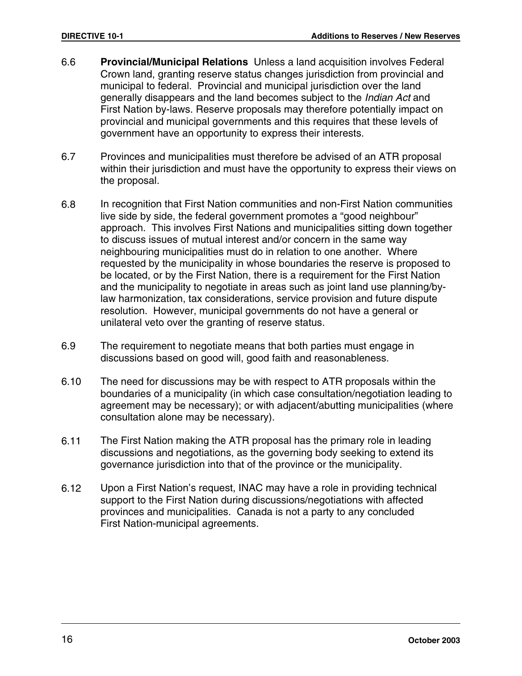- 6.6 **Provincial/Municipal Relations** Unless a land acquisition involves Federal Crown land, granting reserve status changes jurisdiction from provincial and municipal to federal. Provincial and municipal jurisdiction over the land generally disappears and the land becomes subject to the Indian Act and First Nation by-laws. Reserve proposals may therefore potentially impact on provincial and municipal governments and this requires that these levels of government have an opportunity to express their interests.
- 6.7 Provinces and municipalities must therefore be advised of an ATR proposal within their jurisdiction and must have the opportunity to express their views on the proposal.
- 6.8 In recognition that First Nation communities and non-First Nation communities live side by side, the federal government promotes a "good neighbour" approach. This involves First Nations and municipalities sitting down together to discuss issues of mutual interest and/or concern in the same way neighbouring municipalities must do in relation to one another. Where requested by the municipality in whose boundaries the reserve is proposed to be located, or by the First Nation, there is a requirement for the First Nation and the municipality to negotiate in areas such as joint land use planning/bylaw harmonization, tax considerations, service provision and future dispute resolution. However, municipal governments do not have a general or unilateral veto over the granting of reserve status.
- 6.9 The requirement to negotiate means that both parties must engage in discussions based on good will, good faith and reasonableness.
- 6.10 The need for discussions may be with respect to ATR proposals within the boundaries of a municipality (in which case consultation/negotiation leading to agreement may be necessary); or with adjacent/abutting municipalities (where consultation alone may be necessary).
- 6.11 The First Nation making the ATR proposal has the primary role in leading discussions and negotiations, as the governing body seeking to extend its governance jurisdiction into that of the province or the municipality.
- 6.12 Upon a First Nation's request, INAC may have a role in providing technical support to the First Nation during discussions/negotiations with affected provinces and municipalities. Canada is not a party to any concluded First Nation-municipal agreements.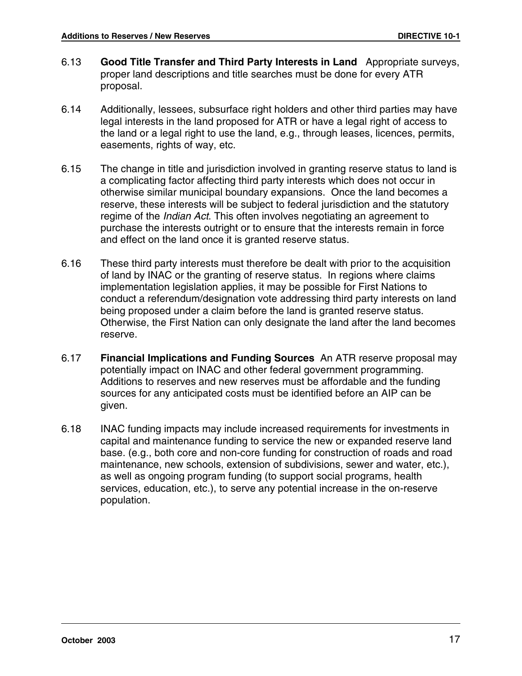- 6.13 **Good Title Transfer and Third Party Interests in Land** Appropriate surveys, proper land descriptions and title searches must be done for every ATR proposal.
- 6.14 Additionally, lessees, subsurface right holders and other third parties may have legal interests in the land proposed for ATR or have a legal right of access to the land or a legal right to use the land, e.g., through leases, licences, permits, easements, rights of way, etc.
- 6.15 The change in title and jurisdiction involved in granting reserve status to land is a complicating factor affecting third party interests which does not occur in otherwise similar municipal boundary expansions. Once the land becomes a reserve, these interests will be subject to federal jurisdiction and the statutory regime of the *Indian Act*. This often involves negotiating an agreement to purchase the interests outright or to ensure that the interests remain in force and effect on the land once it is granted reserve status.
- 6.16 These third party interests must therefore be dealt with prior to the acquisition of land by INAC or the granting of reserve status. In regions where claims implementation legislation applies, it may be possible for First Nations to conduct a referendum/designation vote addressing third party interests on land being proposed under a claim before the land is granted reserve status. Otherwise, the First Nation can only designate the land after the land becomes reserve.
- 6.17 **Financial Implications and Funding Sources** An ATR reserve proposal may potentially impact on INAC and other federal government programming. Additions to reserves and new reserves must be affordable and the funding sources for any anticipated costs must be identified before an AIP can be given.
- 6.18 INAC funding impacts may include increased requirements for investments in capital and maintenance funding to service the new or expanded reserve land base. (e.g., both core and non-core funding for construction of roads and road maintenance, new schools, extension of subdivisions, sewer and water, etc.), as well as ongoing program funding (to support social programs, health services, education, etc.), to serve any potential increase in the on-reserve population.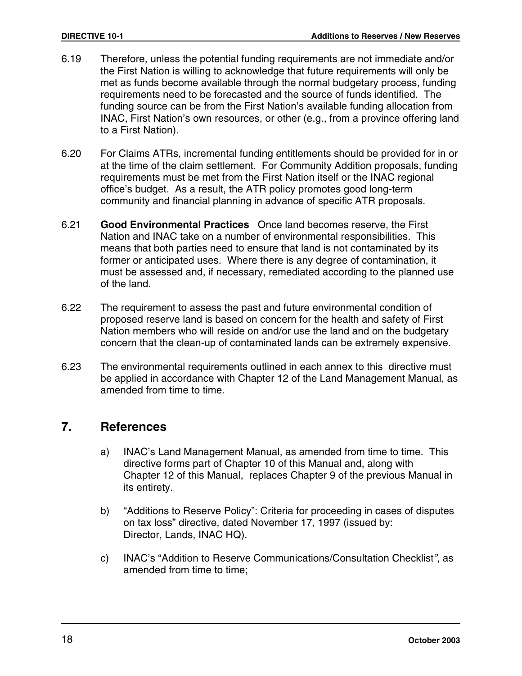- 6.19 Therefore, unless the potential funding requirements are not immediate and/or the First Nation is willing to acknowledge that future requirements will only be met as funds become available through the normal budgetary process, funding requirements need to be forecasted and the source of funds identified. The funding source can be from the First Nation's available funding allocation from INAC, First Nation's own resources, or other (e.g., from a province offering land to a First Nation).
- 6.20 For Claims ATRs, incremental funding entitlements should be provided for in or at the time of the claim settlement. For Community Addition proposals, funding requirements must be met from the First Nation itself or the INAC regional office's budget. As a result, the ATR policy promotes good long-term community and financial planning in advance of specific ATR proposals.
- 6.21 **Good Environmental Practices** Once land becomes reserve, the First Nation and INAC take on a number of environmental responsibilities. This means that both parties need to ensure that land is not contaminated by its former or anticipated uses. Where there is any degree of contamination, it must be assessed and, if necessary, remediated according to the planned use of the land.
- 6.22 The requirement to assess the past and future environmental condition of proposed reserve land is based on concern for the health and safety of First Nation members who will reside on and/or use the land and on the budgetary concern that the clean-up of contaminated lands can be extremely expensive.
- 6.23 The environmental requirements outlined in each annex to this directive must be applied in accordance with Chapter 12 of the Land Management Manual, as amended from time to time.

#### **7. References**

- a) INAC's Land Management Manual, as amended from time to time. This directive forms part of Chapter 10 of this Manual and, along with Chapter 12 of this Manual, replaces Chapter 9 of the previous Manual in its entirety.
- b) "Additions to Reserve Policy": Criteria for proceeding in cases of disputes on tax loss" directive, dated November 17, 1997 (issued by: Director, Lands, INAC HQ).
- c) INAC's "Addition to Reserve Communications/Consultation Checklist", as amended from time to time;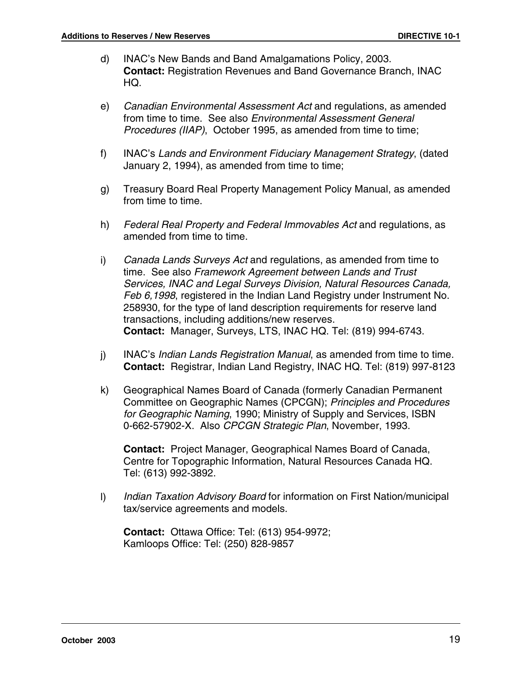- d) INAC's New Bands and Band Amalgamations Policy, 2003. **Contact:** Registration Revenues and Band Governance Branch, INAC HQ.
- e) Canadian Environmental Assessment Act and regulations, as amended from time to time. See also Environmental Assessment General Procedures (IIAP), October 1995, as amended from time to time;
- f) INAC's Lands and Environment Fiduciary Management Strategy, (dated January 2, 1994), as amended from time to time;
- g) Treasury Board Real Property Management Policy Manual, as amended from time to time.
- h) Federal Real Property and Federal Immovables Act and regulations, as amended from time to time.
- i) Canada Lands Surveys Act and regulations, as amended from time to time. See also Framework Agreement between Lands and Trust Services, INAC and Legal Surveys Division, Natural Resources Canada, Feb 6,1998, registered in the Indian Land Registry under Instrument No. 258930, for the type of land description requirements for reserve land transactions, including additions/new reserves. **Contact:** Manager, Surveys, LTS, INAC HQ. Tel: (819) 994-6743.
- j) INAC's *Indian Lands Registration Manual*, as amended from time to time. **Contact:** Registrar, Indian Land Registry, INAC HQ. Tel: (819) 997-8123
- k) Geographical Names Board of Canada (formerly Canadian Permanent Committee on Geographic Names (CPCGN); Principles and Procedures for Geographic Naming, 1990; Ministry of Supply and Services, ISBN 0-662-57902-X. Also CPCGN Strategic Plan, November, 1993.

**Contact:** Project Manager, Geographical Names Board of Canada, Centre for Topographic Information, Natural Resources Canada HQ. Tel: (613) 992-3892.

I) Indian Taxation Advisory Board for information on First Nation/municipal tax/service agreements and models.

**Contact:** Ottawa Office: Tel: (613) 954-9972; Kamloops Office: Tel: (250) 828-9857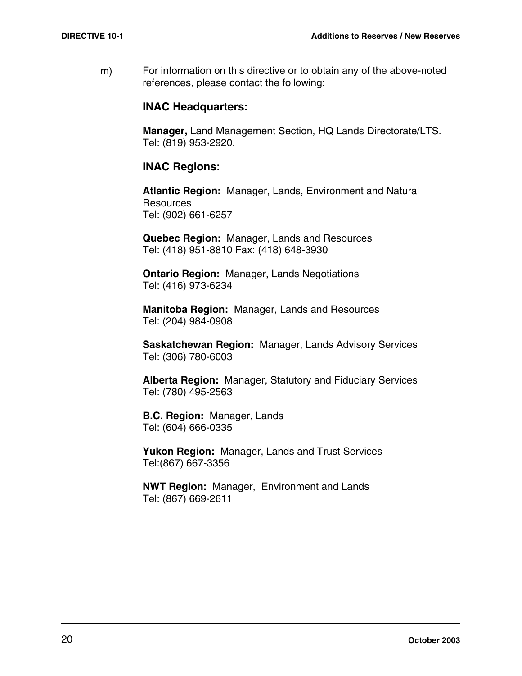m) For information on this directive or to obtain any of the above-noted references, please contact the following:

#### **INAC Headquarters:**

**Manager,** Land Management Section, HQ Lands Directorate/LTS. Tel: (819) 953-2920.

#### **INAC Regions:**

**Atlantic Region:** Manager, Lands, Environment and Natural **Resources** Tel: (902) 661-6257

**Quebec Region:** Manager, Lands and Resources Tel: (418) 951-8810 Fax: (418) 648-3930

**Ontario Region:** Manager, Lands Negotiations Tel: (416) 973-6234

**Manitoba Region:** Manager, Lands and Resources Tel: (204) 984-0908

**Saskatchewan Region:** Manager, Lands Advisory Services Tel: (306) 780-6003

**Alberta Region:** Manager, Statutory and Fiduciary Services Tel: (780) 495-2563

**B.C. Region:** Manager, Lands Tel: (604) 666-0335

**Yukon Region:** Manager, Lands and Trust Services Tel:(867) 667-3356

**NWT Region:** Manager, Environment and Lands Tel: (867) 669-2611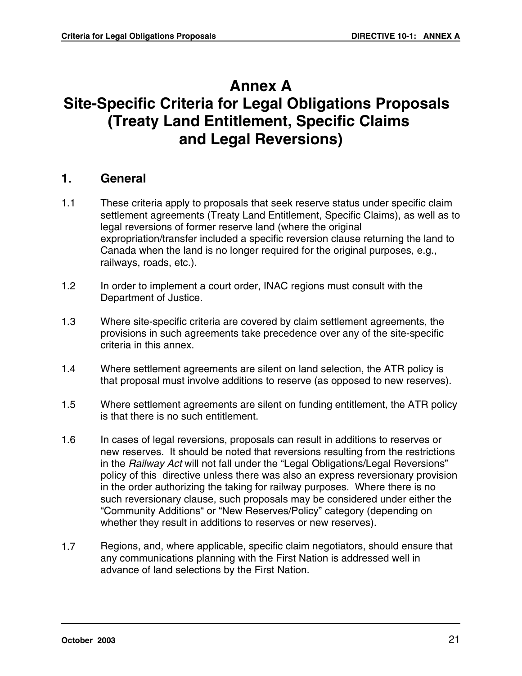# **Annex A Site-Specific Criteria for Legal Obligations Proposals (Treaty Land Entitlement, Specific Claims and Legal Reversions)**

#### **1. General**

- 1.1 These criteria apply to proposals that seek reserve status under specific claim settlement agreements (Treaty Land Entitlement, Specific Claims), as well as to legal reversions of former reserve land (where the original expropriation/transfer included a specific reversion clause returning the land to Canada when the land is no longer required for the original purposes, e.g., railways, roads, etc.).
- 1.2 In order to implement a court order, INAC regions must consult with the Department of Justice.
- 1.3 Where site-specific criteria are covered by claim settlement agreements, the provisions in such agreements take precedence over any of the site-specific criteria in this annex.
- 1.4 Where settlement agreements are silent on land selection, the ATR policy is that proposal must involve additions to reserve (as opposed to new reserves).
- 1.5 Where settlement agreements are silent on funding entitlement, the ATR policy is that there is no such entitlement.
- 1.6 In cases of legal reversions, proposals can result in additions to reserves or new reserves. It should be noted that reversions resulting from the restrictions in the Railway Act will not fall under the "Legal Obligations/Legal Reversions" policy of this directive unless there was also an express reversionary provision in the order authorizing the taking for railway purposes. Where there is no such reversionary clause, such proposals may be considered under either the "Community Additions" or "New Reserves/Policy" category (depending on whether they result in additions to reserves or new reserves).
- 1.7 Regions, and, where applicable, specific claim negotiators, should ensure that any communications planning with the First Nation is addressed well in advance of land selections by the First Nation.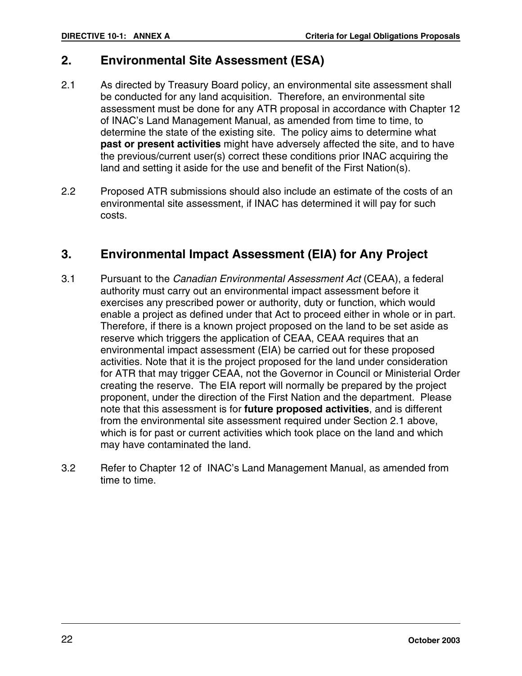# **2. Environmental Site Assessment (ESA)**

- 2.1 As directed by Treasury Board policy, an environmental site assessment shall be conducted for any land acquisition. Therefore, an environmental site assessment must be done for any ATR proposal in accordance with Chapter 12 of INAC's Land Management Manual, as amended from time to time, to determine the state of the existing site. The policy aims to determine what **past or present activities** might have adversely affected the site, and to have the previous/current user(s) correct these conditions prior INAC acquiring the land and setting it aside for the use and benefit of the First Nation(s).
- 2.2 Proposed ATR submissions should also include an estimate of the costs of an environmental site assessment, if INAC has determined it will pay for such costs.

# **3. Environmental Impact Assessment (EIA) for Any Project**

- 3.1 Pursuant to the Canadian Environmental Assessment Act (CEAA), a federal authority must carry out an environmental impact assessment before it exercises any prescribed power or authority, duty or function, which would enable a project as defined under that Act to proceed either in whole or in part. Therefore, if there is a known project proposed on the land to be set aside as reserve which triggers the application of CEAA, CEAA requires that an environmental impact assessment (EIA) be carried out for these proposed activities. Note that it is the project proposed for the land under consideration for ATR that may trigger CEAA, not the Governor in Council or Ministerial Order creating the reserve. The EIA report will normally be prepared by the project proponent, under the direction of the First Nation and the department. Please note that this assessment is for **future proposed activities**, and is different from the environmental site assessment required under Section 2.1 above, which is for past or current activities which took place on the land and which may have contaminated the land.
- 3.2 Refer to Chapter 12 of INAC's Land Management Manual, as amended from time to time.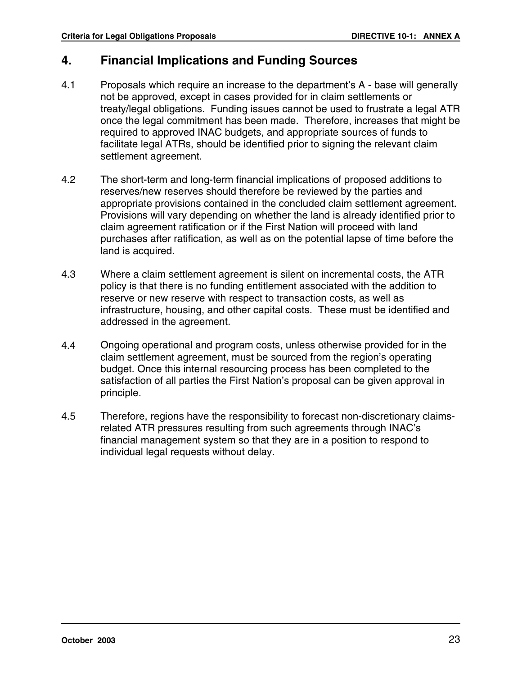# **4. Financial Implications and Funding Sources**

- 4.1 Proposals which require an increase to the department's A base will generally not be approved, except in cases provided for in claim settlements or treaty/legal obligations. Funding issues cannot be used to frustrate a legal ATR once the legal commitment has been made. Therefore, increases that might be required to approved INAC budgets, and appropriate sources of funds to facilitate legal ATRs, should be identified prior to signing the relevant claim settlement agreement.
- 4.2 The short-term and long-term financial implications of proposed additions to reserves/new reserves should therefore be reviewed by the parties and appropriate provisions contained in the concluded claim settlement agreement. Provisions will vary depending on whether the land is already identified prior to claim agreement ratification or if the First Nation will proceed with land purchases after ratification, as well as on the potential lapse of time before the land is acquired.
- 4.3 Where a claim settlement agreement is silent on incremental costs, the ATR policy is that there is no funding entitlement associated with the addition to reserve or new reserve with respect to transaction costs, as well as infrastructure, housing, and other capital costs. These must be identified and addressed in the agreement.
- 4.4 Ongoing operational and program costs, unless otherwise provided for in the claim settlement agreement, must be sourced from the region's operating budget. Once this internal resourcing process has been completed to the satisfaction of all parties the First Nation's proposal can be given approval in principle.
- 4.5 Therefore, regions have the responsibility to forecast non-discretionary claimsrelated ATR pressures resulting from such agreements through INAC's financial management system so that they are in a position to respond to individual legal requests without delay.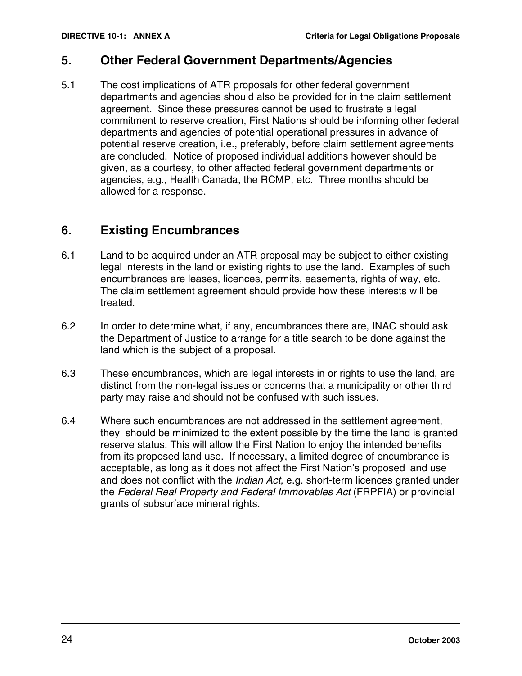### **5. Other Federal Government Departments/Agencies**

5.1 The cost implications of ATR proposals for other federal government departments and agencies should also be provided for in the claim settlement agreement. Since these pressures cannot be used to frustrate a legal commitment to reserve creation, First Nations should be informing other federal departments and agencies of potential operational pressures in advance of potential reserve creation, i.e., preferably, before claim settlement agreements are concluded. Notice of proposed individual additions however should be given, as a courtesy, to other affected federal government departments or agencies, e.g., Health Canada, the RCMP, etc. Three months should be allowed for a response.

# **6. Existing Encumbrances**

- 6.1 Land to be acquired under an ATR proposal may be subject to either existing legal interests in the land or existing rights to use the land. Examples of such encumbrances are leases, licences, permits, easements, rights of way, etc. The claim settlement agreement should provide how these interests will be treated.
- 6.2 In order to determine what, if any, encumbrances there are, INAC should ask the Department of Justice to arrange for a title search to be done against the land which is the subject of a proposal.
- 6.3 These encumbrances, which are legal interests in or rights to use the land, are distinct from the non-legal issues or concerns that a municipality or other third party may raise and should not be confused with such issues.
- 6.4 Where such encumbrances are not addressed in the settlement agreement, they should be minimized to the extent possible by the time the land is granted reserve status. This will allow the First Nation to enjoy the intended benefits from its proposed land use. If necessary, a limited degree of encumbrance is acceptable, as long as it does not affect the First Nation's proposed land use and does not conflict with the *Indian Act*, e.g. short-term licences granted under the Federal Real Property and Federal Immovables Act (FRPFIA) or provincial grants of subsurface mineral rights.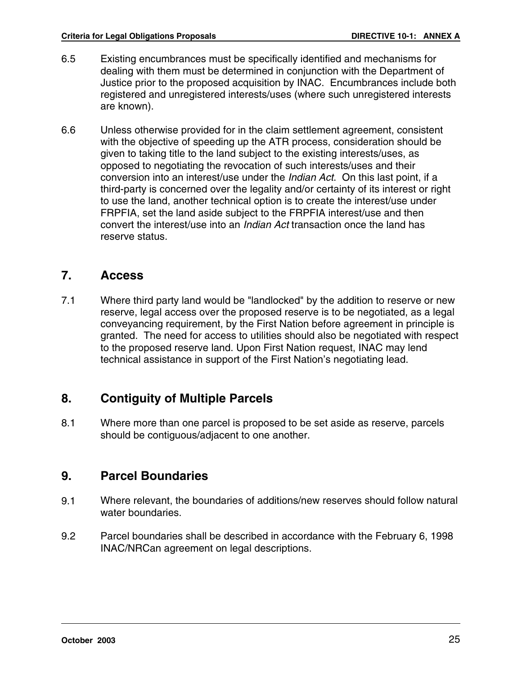- 6.5 Existing encumbrances must be specifically identified and mechanisms for dealing with them must be determined in conjunction with the Department of Justice prior to the proposed acquisition by INAC. Encumbrances include both registered and unregistered interests/uses (where such unregistered interests are known).
- 6.6 Unless otherwise provided for in the claim settlement agreement, consistent with the objective of speeding up the ATR process, consideration should be given to taking title to the land subject to the existing interests/uses, as opposed to negotiating the revocation of such interests/uses and their conversion into an interest/use under the Indian Act. On this last point, if a third-party is concerned over the legality and/or certainty of its interest or right to use the land, another technical option is to create the interest/use under FRPFIA, set the land aside subject to the FRPFIA interest/use and then convert the interest/use into an Indian Act transaction once the land has reserve status.

#### **7. Access**

7.1 Where third party land would be "landlocked" by the addition to reserve or new reserve, legal access over the proposed reserve is to be negotiated, as a legal conveyancing requirement, by the First Nation before agreement in principle is granted. The need for access to utilities should also be negotiated with respect to the proposed reserve land. Upon First Nation request, INAC may lend technical assistance in support of the First Nation's negotiating lead.

# **8. Contiguity of Multiple Parcels**

8.1 Where more than one parcel is proposed to be set aside as reserve, parcels should be contiguous/adjacent to one another.

# **9. Parcel Boundaries**

- 9.1 Where relevant, the boundaries of additions/new reserves should follow natural water boundaries.
- 9.2 Parcel boundaries shall be described in accordance with the February 6, 1998 INAC/NRCan agreement on legal descriptions.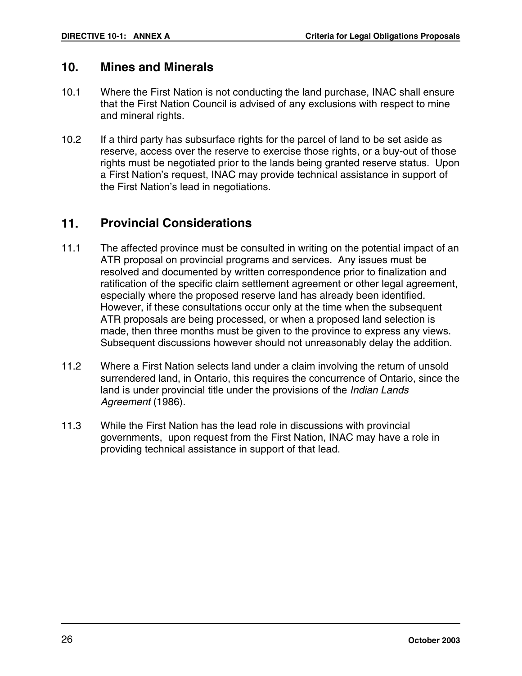#### **10. Mines and Minerals**

- 10.1 Where the First Nation is not conducting the land purchase, INAC shall ensure that the First Nation Council is advised of any exclusions with respect to mine and mineral rights.
- 10.2 If a third party has subsurface rights for the parcel of land to be set aside as reserve, access over the reserve to exercise those rights, or a buy-out of those rights must be negotiated prior to the lands being granted reserve status. Upon a First Nation's request, INAC may provide technical assistance in support of the First Nation's lead in negotiations.

#### **11. Provincial Considerations**

- 11.1 The affected province must be consulted in writing on the potential impact of an ATR proposal on provincial programs and services. Any issues must be resolved and documented by written correspondence prior to finalization and ratification of the specific claim settlement agreement or other legal agreement, especially where the proposed reserve land has already been identified. However, if these consultations occur only at the time when the subsequent ATR proposals are being processed, or when a proposed land selection is made, then three months must be given to the province to express any views. Subsequent discussions however should not unreasonably delay the addition.
- 11.2 Where a First Nation selects land under a claim involving the return of unsold surrendered land, in Ontario, this requires the concurrence of Ontario, since the land is under provincial title under the provisions of the Indian Lands Agreement (1986).
- 11.3 While the First Nation has the lead role in discussions with provincial governments, upon request from the First Nation, INAC may have a role in providing technical assistance in support of that lead.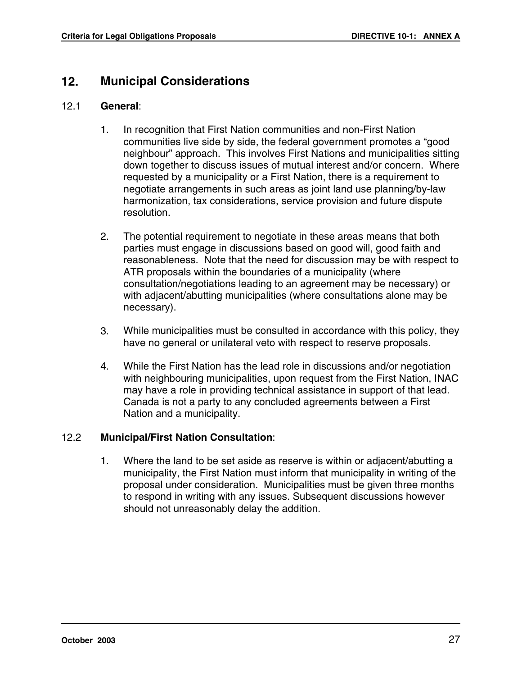# **12. Municipal Considerations**

#### 12.1 **General**:

- 1. In recognition that First Nation communities and non-First Nation communities live side by side, the federal government promotes a "good neighbour" approach. This involves First Nations and municipalities sitting down together to discuss issues of mutual interest and/or concern. Where requested by a municipality or a First Nation, there is a requirement to negotiate arrangements in such areas as joint land use planning/by-law harmonization, tax considerations, service provision and future dispute resolution.
- 2. The potential requirement to negotiate in these areas means that both parties must engage in discussions based on good will, good faith and reasonableness. Note that the need for discussion may be with respect to ATR proposals within the boundaries of a municipality (where consultation/negotiations leading to an agreement may be necessary) or with adjacent/abutting municipalities (where consultations alone may be necessary).
- 3. While municipalities must be consulted in accordance with this policy, they have no general or unilateral veto with respect to reserve proposals.
- 4. While the First Nation has the lead role in discussions and/or negotiation with neighbouring municipalities, upon request from the First Nation, INAC may have a role in providing technical assistance in support of that lead. Canada is not a party to any concluded agreements between a First Nation and a municipality.

#### 12.2 **Municipal/First Nation Consultation**:

1. Where the land to be set aside as reserve is within or adjacent/abutting a municipality, the First Nation must inform that municipality in writing of the proposal under consideration. Municipalities must be given three months to respond in writing with any issues. Subsequent discussions however should not unreasonably delay the addition.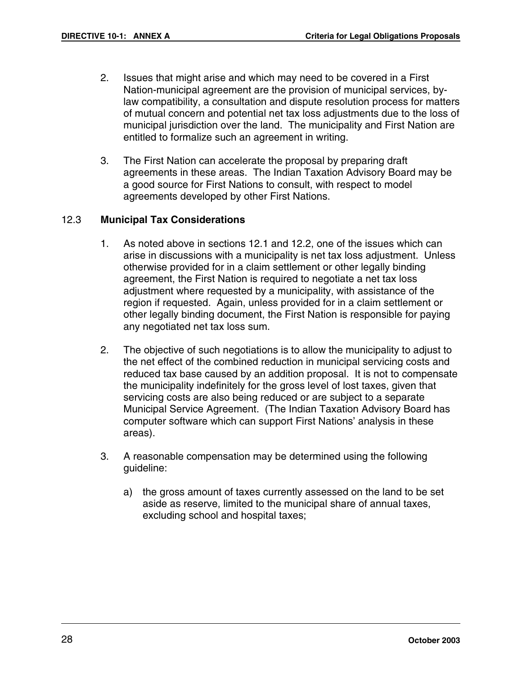- 2. Issues that might arise and which may need to be covered in a First Nation-municipal agreement are the provision of municipal services, bylaw compatibility, a consultation and dispute resolution process for matters of mutual concern and potential net tax loss adjustments due to the loss of municipal jurisdiction over the land. The municipality and First Nation are entitled to formalize such an agreement in writing.
- 3. The First Nation can accelerate the proposal by preparing draft agreements in these areas. The Indian Taxation Advisory Board may be a good source for First Nations to consult, with respect to model agreements developed by other First Nations.

#### 12.3 **Municipal Tax Considerations**

- 1. As noted above in sections 12.1 and 12.2, one of the issues which can arise in discussions with a municipality is net tax loss adjustment. Unless otherwise provided for in a claim settlement or other legally binding agreement, the First Nation is required to negotiate a net tax loss adjustment where requested by a municipality, with assistance of the region if requested. Again, unless provided for in a claim settlement or other legally binding document, the First Nation is responsible for paying any negotiated net tax loss sum.
- 2. The objective of such negotiations is to allow the municipality to adjust to the net effect of the combined reduction in municipal servicing costs and reduced tax base caused by an addition proposal. It is not to compensate the municipality indefinitely for the gross level of lost taxes, given that servicing costs are also being reduced or are subject to a separate Municipal Service Agreement. (The Indian Taxation Advisory Board has computer software which can support First Nations' analysis in these areas).
- 3. A reasonable compensation may be determined using the following guideline:
	- a) the gross amount of taxes currently assessed on the land to be set aside as reserve, limited to the municipal share of annual taxes, excluding school and hospital taxes;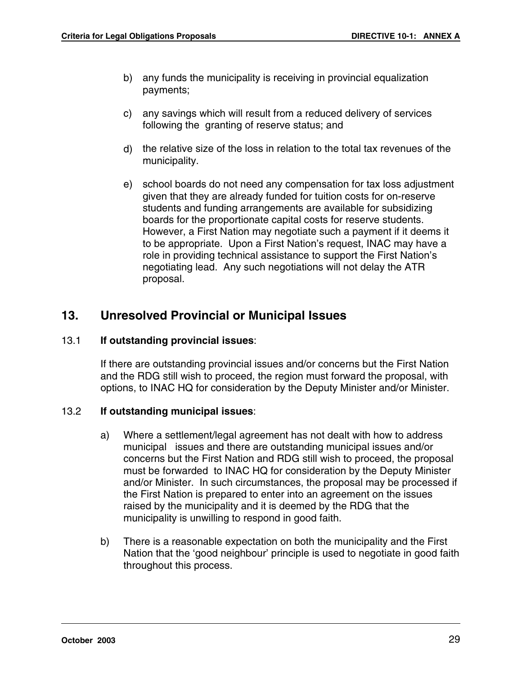- b) any funds the municipality is receiving in provincial equalization payments;
- c) any savings which will result from a reduced delivery of services following the granting of reserve status; and
- d) the relative size of the loss in relation to the total tax revenues of the municipality.
- e) school boards do not need any compensation for tax loss adjustment given that they are already funded for tuition costs for on-reserve students and funding arrangements are available for subsidizing boards for the proportionate capital costs for reserve students. However, a First Nation may negotiate such a payment if it deems it to be appropriate. Upon a First Nation's request, INAC may have a role in providing technical assistance to support the First Nation's negotiating lead. Any such negotiations will not delay the ATR proposal.

# **13. Unresolved Provincial or Municipal Issues**

#### 13.1 **If outstanding provincial issues**:

If there are outstanding provincial issues and/or concerns but the First Nation and the RDG still wish to proceed, the region must forward the proposal, with options, to INAC HQ for consideration by the Deputy Minister and/or Minister.

#### 13.2 **If outstanding municipal issues**:

- a) Where a settlement/legal agreement has not dealt with how to address municipal issues and there are outstanding municipal issues and/or concerns but the First Nation and RDG still wish to proceed, the proposal must be forwarded to INAC HQ for consideration by the Deputy Minister and/or Minister. In such circumstances, the proposal may be processed if the First Nation is prepared to enter into an agreement on the issues raised by the municipality and it is deemed by the RDG that the municipality is unwilling to respond in good faith.
- b) There is a reasonable expectation on both the municipality and the First Nation that the 'good neighbour' principle is used to negotiate in good faith throughout this process.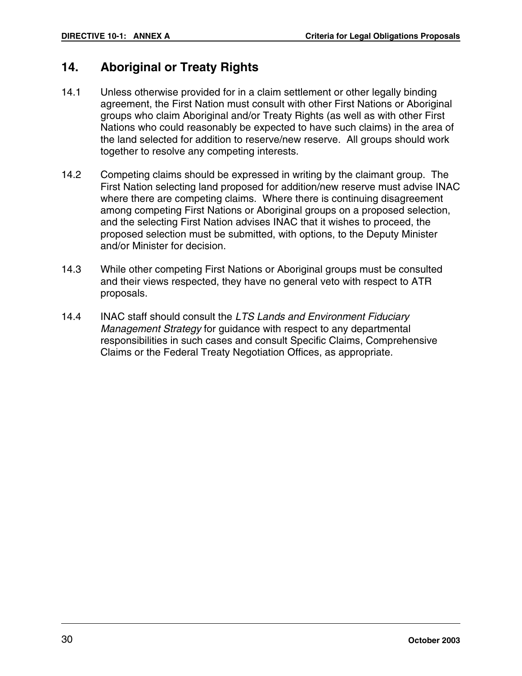#### **14. Aboriginal or Treaty Rights**

- 14.1 Unless otherwise provided for in a claim settlement or other legally binding agreement, the First Nation must consult with other First Nations or Aboriginal groups who claim Aboriginal and/or Treaty Rights (as well as with other First Nations who could reasonably be expected to have such claims) in the area of the land selected for addition to reserve/new reserve. All groups should work together to resolve any competing interests.
- 14.2 Competing claims should be expressed in writing by the claimant group. The First Nation selecting land proposed for addition/new reserve must advise INAC where there are competing claims. Where there is continuing disagreement among competing First Nations or Aboriginal groups on a proposed selection, and the selecting First Nation advises INAC that it wishes to proceed, the proposed selection must be submitted, with options, to the Deputy Minister and/or Minister for decision.
- 14.3 While other competing First Nations or Aboriginal groups must be consulted and their views respected, they have no general veto with respect to ATR proposals.
- 14.4 INAC staff should consult the LTS Lands and Environment Fiduciary Management Strategy for guidance with respect to any departmental responsibilities in such cases and consult Specific Claims, Comprehensive Claims or the Federal Treaty Negotiation Offices, as appropriate.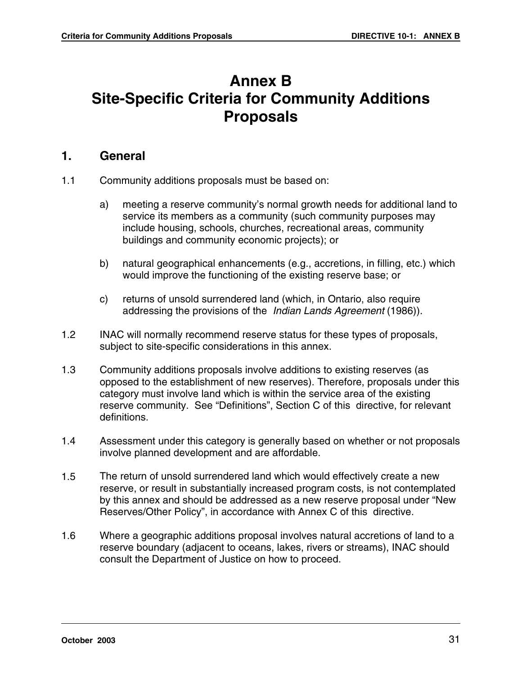# **Annex B Site-Specific Criteria for Community Additions Proposals**

#### **1. General**

- 1.1 Community additions proposals must be based on:
	- a) meeting a reserve community's normal growth needs for additional land to service its members as a community (such community purposes may include housing, schools, churches, recreational areas, community buildings and community economic projects); or
	- b) natural geographical enhancements (e.g., accretions, in filling, etc.) which would improve the functioning of the existing reserve base; or
	- c) returns of unsold surrendered land (which, in Ontario, also require addressing the provisions of the *Indian Lands Agreement* (1986)).
- 1.2 INAC will normally recommend reserve status for these types of proposals, subject to site-specific considerations in this annex.
- 1.3 Community additions proposals involve additions to existing reserves (as opposed to the establishment of new reserves). Therefore, proposals under this category must involve land which is within the service area of the existing reserve community. See "Definitions", Section C of this directive, for relevant definitions.
- 1.4 Assessment under this category is generally based on whether or not proposals involve planned development and are affordable.
- 1.5 The return of unsold surrendered land which would effectively create a new reserve, or result in substantially increased program costs, is not contemplated by this annex and should be addressed as a new reserve proposal under "New Reserves/Other Policy", in accordance with Annex C of this directive.
- 1.6 Where a geographic additions proposal involves natural accretions of land to a reserve boundary (adjacent to oceans, lakes, rivers or streams), INAC should consult the Department of Justice on how to proceed.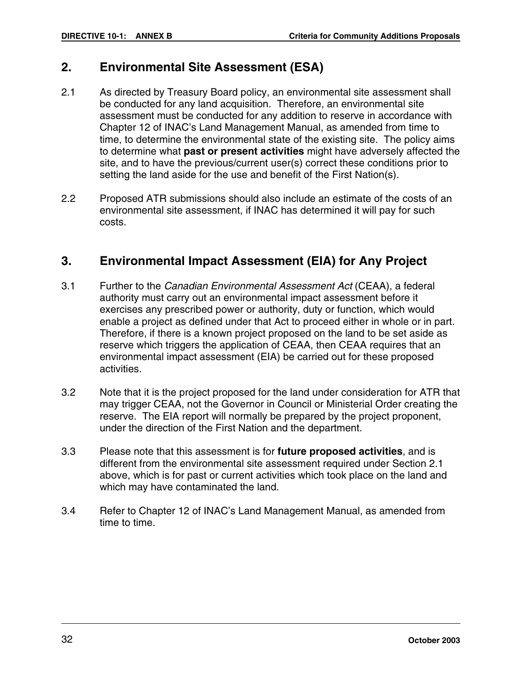#### **2. Environmental Site Assessment (ESA)**

- 2.1 As directed by Treasury Board policy, an environmental site assessment shall be conducted for any land acquisition. Therefore, an environmental site assessment must be conducted for any addition to reserve in accordance with Chapter 12 of INAC's Land Management Manual, as amended from time to time, to determine the environmental state of the existing site. The policy aims to determine what **past or present activities** might have adversely affected the site, and to have the previous/current user(s) correct these conditions prior to setting the land aside for the use and benefit of the First Nation(s).
- 2.2 Proposed ATR submissions should also include an estimate of the costs of an environmental site assessment, if INAC has determined it will pay for such costs.

#### **3. Environmental Impact Assessment (EIA) for Any Project**

- 3.1 Further to the Canadian Environmental Assessment Act (CEAA), a federal authority must carry out an environmental impact assessment before it exercises any prescribed power or authority, duty or function, which would enable a project as defined under that Act to proceed either in whole or in part. Therefore, if there is a known project proposed on the land to be set aside as reserve which triggers the application of CEAA, then CEAA requires that an environmental impact assessment (EIA) be carried out for these proposed activities.
- 3.2 Note that it is the project proposed for the land under consideration for ATR that may trigger CEAA, not the Governor in Council or Ministerial Order creating the reserve. The EIA report will normally be prepared by the project proponent, under the direction of the First Nation and the department.
- 3.3 Please note that this assessment is for **future proposed activities**, and is different from the environmental site assessment required under Section 2.1 above, which is for past or current activities which took place on the land and which may have contaminated the land.
- 3.4 Refer to Chapter 12 of INAC's Land Management Manual, as amended from time to time.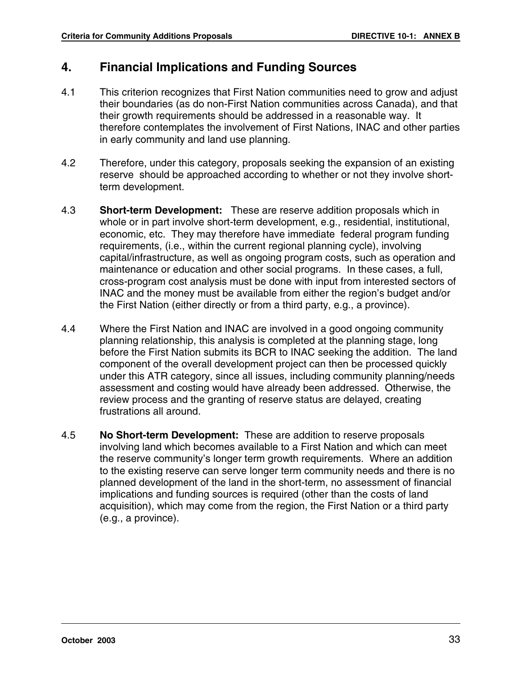# **4. Financial Implications and Funding Sources**

- 4.1 This criterion recognizes that First Nation communities need to grow and adjust their boundaries (as do non-First Nation communities across Canada), and that their growth requirements should be addressed in a reasonable way. It therefore contemplates the involvement of First Nations, INAC and other parties in early community and land use planning.
- 4.2 Therefore, under this category, proposals seeking the expansion of an existing reserve should be approached according to whether or not they involve shortterm development.
- 4.3 **Short-term Development:** These are reserve addition proposals which in whole or in part involve short-term development, e.g., residential, institutional, economic, etc. They may therefore have immediate federal program funding requirements, (i.e., within the current regional planning cycle), involving capital/infrastructure, as well as ongoing program costs, such as operation and maintenance or education and other social programs. In these cases, a full, cross-program cost analysis must be done with input from interested sectors of INAC and the money must be available from either the region's budget and/or the First Nation (either directly or from a third party, e.g., a province).
- 4.4 Where the First Nation and INAC are involved in a good ongoing community planning relationship, this analysis is completed at the planning stage, long before the First Nation submits its BCR to INAC seeking the addition. The land component of the overall development project can then be processed quickly under this ATR category, since all issues, including community planning/needs assessment and costing would have already been addressed. Otherwise, the review process and the granting of reserve status are delayed, creating frustrations all around.
- 4.5 **No Short-term Development:** These are addition to reserve proposals involving land which becomes available to a First Nation and which can meet the reserve community's longer term growth requirements. Where an addition to the existing reserve can serve longer term community needs and there is no planned development of the land in the short-term, no assessment of financial implications and funding sources is required (other than the costs of land acquisition), which may come from the region, the First Nation or a third party (e.g., a province).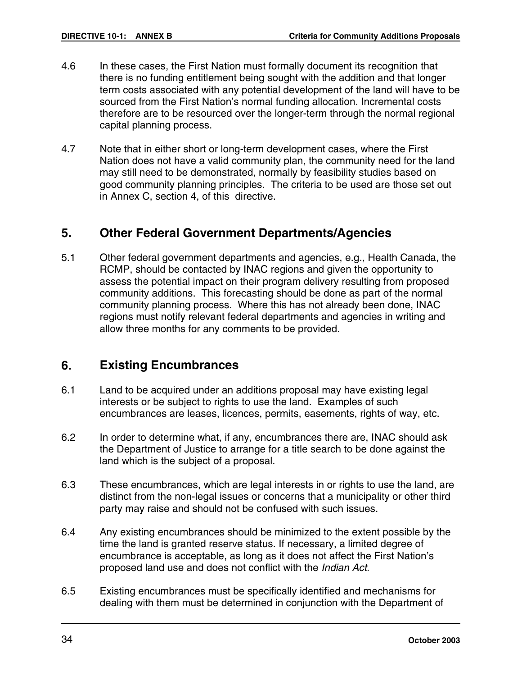- 4.6 In these cases, the First Nation must formally document its recognition that there is no funding entitlement being sought with the addition and that longer term costs associated with any potential development of the land will have to be sourced from the First Nation's normal funding allocation. Incremental costs therefore are to be resourced over the longer-term through the normal regional capital planning process.
- 4.7 Note that in either short or long-term development cases, where the First Nation does not have a valid community plan, the community need for the land may still need to be demonstrated, normally by feasibility studies based on good community planning principles. The criteria to be used are those set out in Annex C, section 4, of this directive.

#### **5. Other Federal Government Departments/Agencies**

5.1 Other federal government departments and agencies, e.g., Health Canada, the RCMP, should be contacted by INAC regions and given the opportunity to assess the potential impact on their program delivery resulting from proposed community additions. This forecasting should be done as part of the normal community planning process. Where this has not already been done, INAC regions must notify relevant federal departments and agencies in writing and allow three months for any comments to be provided.

#### **6. Existing Encumbrances**

- 6.1 Land to be acquired under an additions proposal may have existing legal interests or be subject to rights to use the land. Examples of such encumbrances are leases, licences, permits, easements, rights of way, etc.
- 6.2 In order to determine what, if any, encumbrances there are, INAC should ask the Department of Justice to arrange for a title search to be done against the land which is the subject of a proposal.
- 6.3 These encumbrances, which are legal interests in or rights to use the land, are distinct from the non-legal issues or concerns that a municipality or other third party may raise and should not be confused with such issues.
- 6.4 Any existing encumbrances should be minimized to the extent possible by the time the land is granted reserve status. If necessary, a limited degree of encumbrance is acceptable, as long as it does not affect the First Nation's proposed land use and does not conflict with the Indian Act.
- 6.5 Existing encumbrances must be specifically identified and mechanisms for dealing with them must be determined in conjunction with the Department of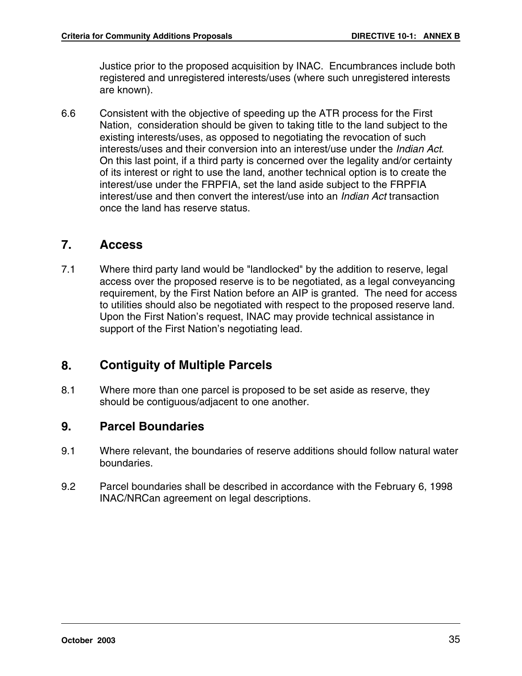Justice prior to the proposed acquisition by INAC. Encumbrances include both registered and unregistered interests/uses (where such unregistered interests are known).

6.6 Consistent with the objective of speeding up the ATR process for the First Nation, consideration should be given to taking title to the land subject to the existing interests/uses, as opposed to negotiating the revocation of such interests/uses and their conversion into an interest/use under the Indian Act. On this last point, if a third party is concerned over the legality and/or certainty of its interest or right to use the land, another technical option is to create the interest/use under the FRPFIA, set the land aside subject to the FRPFIA interest/use and then convert the interest/use into an Indian Act transaction once the land has reserve status.

#### **7. Access**

7.1 Where third party land would be "landlocked" by the addition to reserve, legal access over the proposed reserve is to be negotiated, as a legal conveyancing requirement, by the First Nation before an AIP is granted. The need for access to utilities should also be negotiated with respect to the proposed reserve land. Upon the First Nation's request, INAC may provide technical assistance in support of the First Nation's negotiating lead.

# **8. Contiguity of Multiple Parcels**

8.1 Where more than one parcel is proposed to be set aside as reserve, they should be contiguous/adjacent to one another.

#### **9. Parcel Boundaries**

- 9.1 Where relevant, the boundaries of reserve additions should follow natural water boundaries.
- 9.2 Parcel boundaries shall be described in accordance with the February 6, 1998 INAC/NRCan agreement on legal descriptions.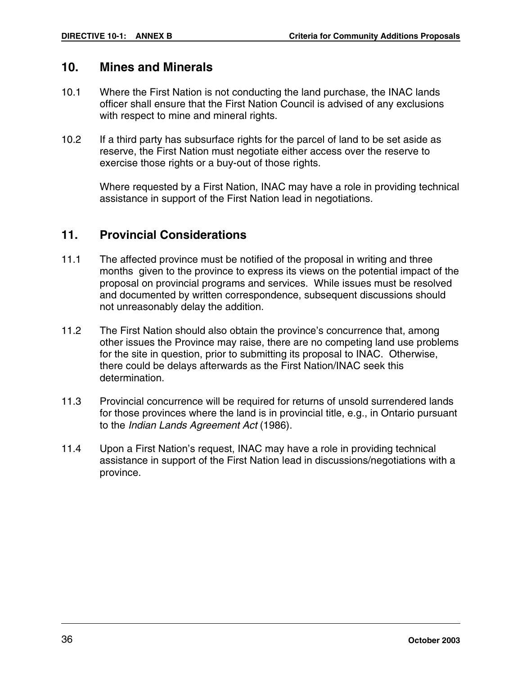#### **10. Mines and Minerals**

- 10.1 Where the First Nation is not conducting the land purchase, the INAC lands officer shall ensure that the First Nation Council is advised of any exclusions with respect to mine and mineral rights.
- 10.2 If a third party has subsurface rights for the parcel of land to be set aside as reserve, the First Nation must negotiate either access over the reserve to exercise those rights or a buy-out of those rights.

Where requested by a First Nation, INAC may have a role in providing technical assistance in support of the First Nation lead in negotiations.

#### **11. Provincial Considerations**

- 11.1 The affected province must be notified of the proposal in writing and three months given to the province to express its views on the potential impact of the proposal on provincial programs and services. While issues must be resolved and documented by written correspondence, subsequent discussions should not unreasonably delay the addition.
- 11.2 The First Nation should also obtain the province's concurrence that, among other issues the Province may raise, there are no competing land use problems for the site in question, prior to submitting its proposal to INAC. Otherwise, there could be delays afterwards as the First Nation/INAC seek this determination.
- 11.3 Provincial concurrence will be required for returns of unsold surrendered lands for those provinces where the land is in provincial title, e.g., in Ontario pursuant to the Indian Lands Agreement Act (1986).
- 11.4 Upon a First Nation's request, INAC may have a role in providing technical assistance in support of the First Nation lead in discussions/negotiations with a province.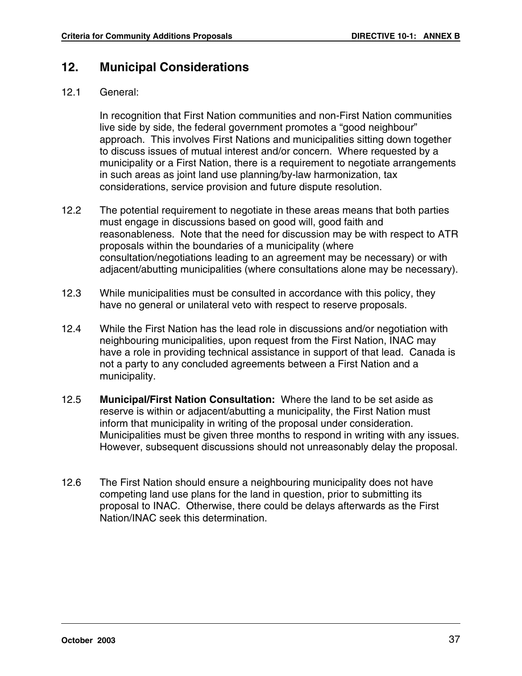### **12. Municipal Considerations**

#### 12.1 General:

In recognition that First Nation communities and non-First Nation communities live side by side, the federal government promotes a "good neighbour" approach. This involves First Nations and municipalities sitting down together to discuss issues of mutual interest and/or concern. Where requested by a municipality or a First Nation, there is a requirement to negotiate arrangements in such areas as joint land use planning/by-law harmonization, tax considerations, service provision and future dispute resolution.

- 12.2 The potential requirement to negotiate in these areas means that both parties must engage in discussions based on good will, good faith and reasonableness. Note that the need for discussion may be with respect to ATR proposals within the boundaries of a municipality (where consultation/negotiations leading to an agreement may be necessary) or with adjacent/abutting municipalities (where consultations alone may be necessary).
- 12.3 While municipalities must be consulted in accordance with this policy, they have no general or unilateral veto with respect to reserve proposals.
- 12.4 While the First Nation has the lead role in discussions and/or negotiation with neighbouring municipalities, upon request from the First Nation, INAC may have a role in providing technical assistance in support of that lead. Canada is not a party to any concluded agreements between a First Nation and a municipality.
- 12.5 **Municipal/First Nation Consultation:** Where the land to be set aside as reserve is within or adjacent/abutting a municipality, the First Nation must inform that municipality in writing of the proposal under consideration. Municipalities must be given three months to respond in writing with any issues. However, subsequent discussions should not unreasonably delay the proposal.
- 12.6 The First Nation should ensure a neighbouring municipality does not have competing land use plans for the land in question, prior to submitting its proposal to INAC. Otherwise, there could be delays afterwards as the First Nation/INAC seek this determination.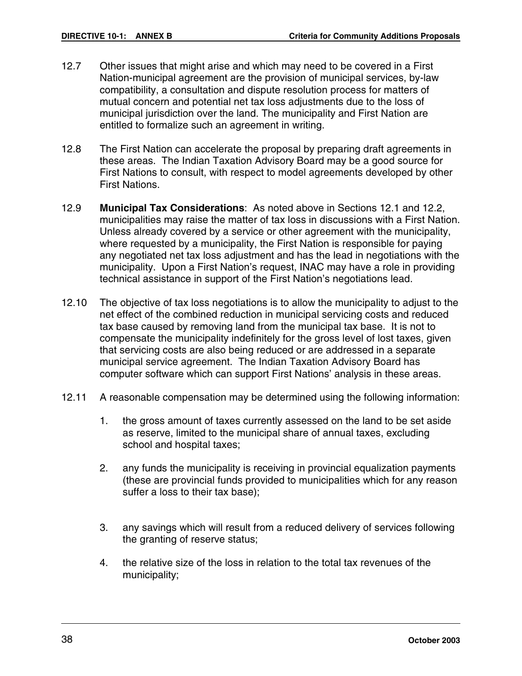- 12.7 Other issues that might arise and which may need to be covered in a First Nation-municipal agreement are the provision of municipal services, by-law compatibility, a consultation and dispute resolution process for matters of mutual concern and potential net tax loss adjustments due to the loss of municipal jurisdiction over the land. The municipality and First Nation are entitled to formalize such an agreement in writing.
- 12.8 The First Nation can accelerate the proposal by preparing draft agreements in these areas. The Indian Taxation Advisory Board may be a good source for First Nations to consult, with respect to model agreements developed by other First Nations.
- 12.9 **Municipal Tax Considerations**: As noted above in Sections 12.1 and 12.2, municipalities may raise the matter of tax loss in discussions with a First Nation. Unless already covered by a service or other agreement with the municipality, where requested by a municipality, the First Nation is responsible for paying any negotiated net tax loss adjustment and has the lead in negotiations with the municipality. Upon a First Nation's request, INAC may have a role in providing technical assistance in support of the First Nation's negotiations lead.
- 12.10 The objective of tax loss negotiations is to allow the municipality to adjust to the net effect of the combined reduction in municipal servicing costs and reduced tax base caused by removing land from the municipal tax base. It is not to compensate the municipality indefinitely for the gross level of lost taxes, given that servicing costs are also being reduced or are addressed in a separate municipal service agreement. The Indian Taxation Advisory Board has computer software which can support First Nations' analysis in these areas.
- 12.11 A reasonable compensation may be determined using the following information:
	- 1. the gross amount of taxes currently assessed on the land to be set aside as reserve, limited to the municipal share of annual taxes, excluding school and hospital taxes;
	- 2. any funds the municipality is receiving in provincial equalization payments (these are provincial funds provided to municipalities which for any reason suffer a loss to their tax base);
	- 3. any savings which will result from a reduced delivery of services following the granting of reserve status;
	- 4. the relative size of the loss in relation to the total tax revenues of the municipality;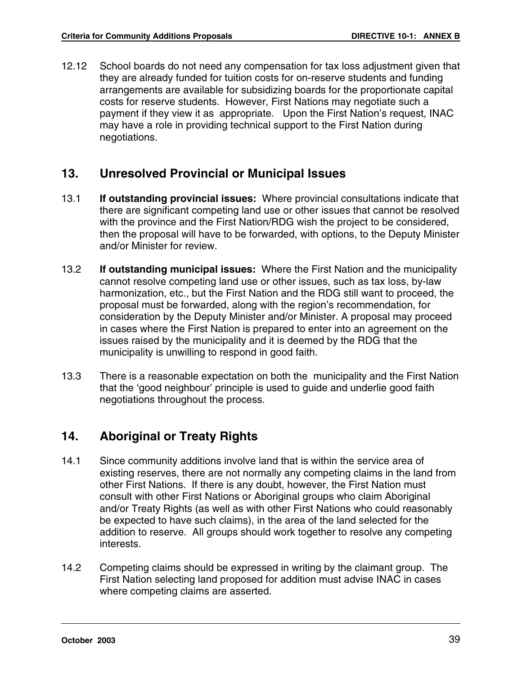12.12 School boards do not need any compensation for tax loss adjustment given that they are already funded for tuition costs for on-reserve students and funding arrangements are available for subsidizing boards for the proportionate capital costs for reserve students. However, First Nations may negotiate such a payment if they view it as appropriate. Upon the First Nation's request, INAC may have a role in providing technical support to the First Nation during negotiations.

### **13. Unresolved Provincial or Municipal Issues**

- 13.1 **If outstanding provincial issues:** Where provincial consultations indicate that there are significant competing land use or other issues that cannot be resolved with the province and the First Nation/RDG wish the project to be considered, then the proposal will have to be forwarded, with options, to the Deputy Minister and/or Minister for review.
- 13.2 **If outstanding municipal issues:** Where the First Nation and the municipality cannot resolve competing land use or other issues, such as tax loss, by-law harmonization, etc., but the First Nation and the RDG still want to proceed, the proposal must be forwarded, along with the region's recommendation, for consideration by the Deputy Minister and/or Minister. A proposal may proceed in cases where the First Nation is prepared to enter into an agreement on the issues raised by the municipality and it is deemed by the RDG that the municipality is unwilling to respond in good faith.
- 13.3 There is a reasonable expectation on both the municipality and the First Nation that the 'good neighbour' principle is used to guide and underlie good faith negotiations throughout the process.

### **14. Aboriginal or Treaty Rights**

- 14.1 Since community additions involve land that is within the service area of existing reserves, there are not normally any competing claims in the land from other First Nations. If there is any doubt, however, the First Nation must consult with other First Nations or Aboriginal groups who claim Aboriginal and/or Treaty Rights (as well as with other First Nations who could reasonably be expected to have such claims), in the area of the land selected for the addition to reserve. All groups should work together to resolve any competing interests.
- 14.2 Competing claims should be expressed in writing by the claimant group. The First Nation selecting land proposed for addition must advise INAC in cases where competing claims are asserted.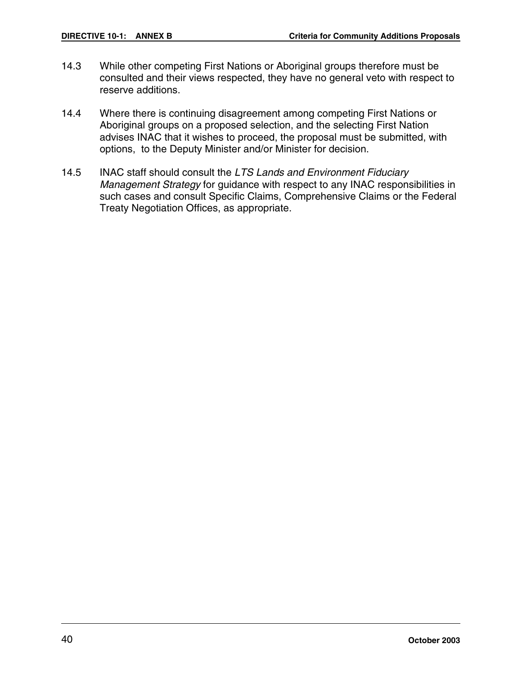- 14.3 While other competing First Nations or Aboriginal groups therefore must be consulted and their views respected, they have no general veto with respect to reserve additions.
- 14.4 Where there is continuing disagreement among competing First Nations or Aboriginal groups on a proposed selection, and the selecting First Nation advises INAC that it wishes to proceed, the proposal must be submitted, with options, to the Deputy Minister and/or Minister for decision.
- 14.5 INAC staff should consult the LTS Lands and Environment Fiduciary Management Strategy for guidance with respect to any INAC responsibilities in such cases and consult Specific Claims, Comprehensive Claims or the Federal Treaty Negotiation Offices, as appropriate.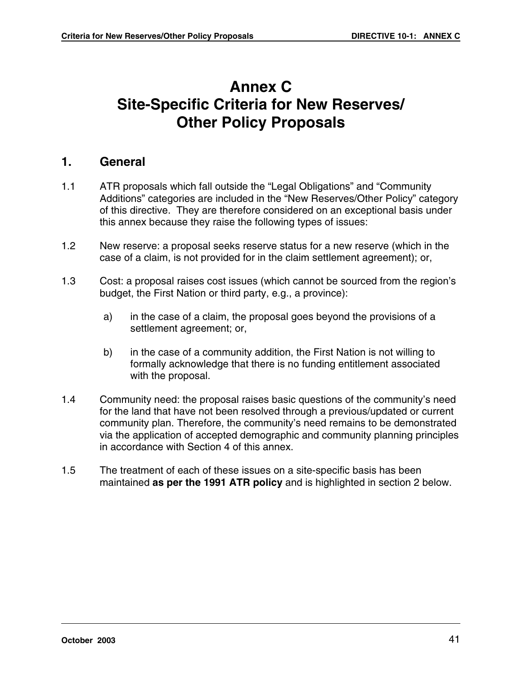# **Annex C Site-Specific Criteria for New Reserves/ Other Policy Proposals**

### **1. General**

- 1.1 ATR proposals which fall outside the "Legal Obligations" and "Community Additions" categories are included in the "New Reserves/Other Policy" category of this directive. They are therefore considered on an exceptional basis under this annex because they raise the following types of issues:
- 1.2 New reserve: a proposal seeks reserve status for a new reserve (which in the case of a claim, is not provided for in the claim settlement agreement); or,
- 1.3 Cost: a proposal raises cost issues (which cannot be sourced from the region's budget, the First Nation or third party, e.g., a province):
	- a) in the case of a claim, the proposal goes beyond the provisions of a settlement agreement; or,
	- b) in the case of a community addition, the First Nation is not willing to formally acknowledge that there is no funding entitlement associated with the proposal.
- 1.4 Community need: the proposal raises basic questions of the community's need for the land that have not been resolved through a previous/updated or current community plan. Therefore, the community's need remains to be demonstrated via the application of accepted demographic and community planning principles in accordance with Section 4 of this annex.
- 1.5 The treatment of each of these issues on a site-specific basis has been maintained **as per the 1991 ATR policy** and is highlighted in section 2 below.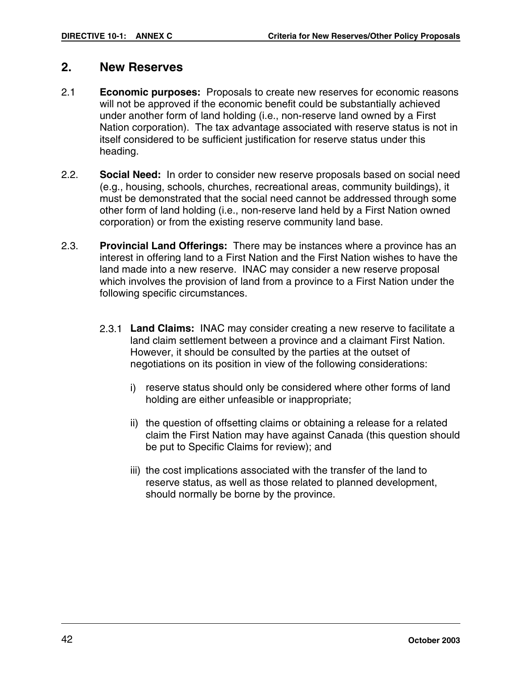### **2. New Reserves**

- 2.1 **Economic purposes:** Proposals to create new reserves for economic reasons will not be approved if the economic benefit could be substantially achieved under another form of land holding (i.e., non-reserve land owned by a First Nation corporation). The tax advantage associated with reserve status is not in itself considered to be sufficient justification for reserve status under this heading.
- 2.2. **Social Need:** In order to consider new reserve proposals based on social need (e.g., housing, schools, churches, recreational areas, community buildings), it must be demonstrated that the social need cannot be addressed through some other form of land holding (i.e., non-reserve land held by a First Nation owned corporation) or from the existing reserve community land base.
- 2.3. **Provincial Land Offerings:** There may be instances where a province has an interest in offering land to a First Nation and the First Nation wishes to have the land made into a new reserve. INAC may consider a new reserve proposal which involves the provision of land from a province to a First Nation under the following specific circumstances.
	- 2.3.1 **Land Claims:** INAC may consider creating a new reserve to facilitate a land claim settlement between a province and a claimant First Nation. However, it should be consulted by the parties at the outset of negotiations on its position in view of the following considerations:
		- i) reserve status should only be considered where other forms of land holding are either unfeasible or inappropriate;
		- ii) the question of offsetting claims or obtaining a release for a related claim the First Nation may have against Canada (this question should be put to Specific Claims for review); and
		- iii) the cost implications associated with the transfer of the land to reserve status, as well as those related to planned development, should normally be borne by the province.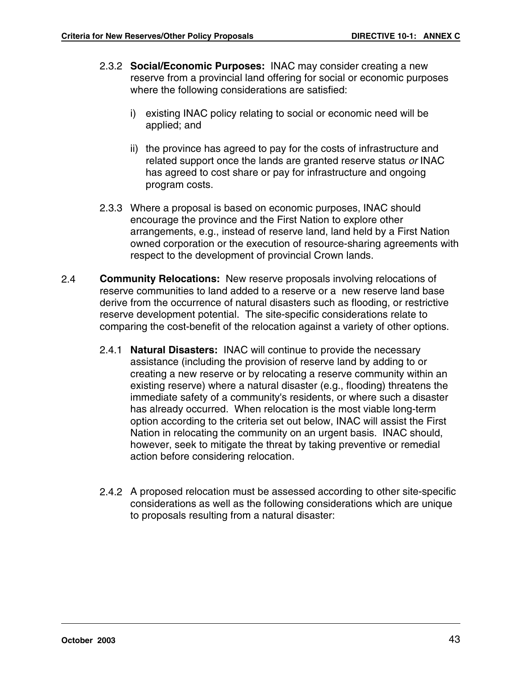- 2.3.2 **Social/Economic Purposes:** INAC may consider creating a new reserve from a provincial land offering for social or economic purposes where the following considerations are satisfied:
	- i) existing INAC policy relating to social or economic need will be applied; and
	- ii) the province has agreed to pay for the costs of infrastructure and related support once the lands are granted reserve status or INAC has agreed to cost share or pay for infrastructure and ongoing program costs.
- 2.3.3 Where a proposal is based on economic purposes, INAC should encourage the province and the First Nation to explore other arrangements, e.g., instead of reserve land, land held by a First Nation owned corporation or the execution of resource-sharing agreements with respect to the development of provincial Crown lands.
- 2.4 **Community Relocations:** New reserve proposals involving relocations of reserve communities to land added to a reserve or a new reserve land base derive from the occurrence of natural disasters such as flooding, or restrictive reserve development potential. The site-specific considerations relate to comparing the cost-benefit of the relocation against a variety of other options.
	- 2.4.1 **Natural Disasters:** INAC will continue to provide the necessary assistance (including the provision of reserve land by adding to or creating a new reserve or by relocating a reserve community within an existing reserve) where a natural disaster (e.g., flooding) threatens the immediate safety of a community's residents, or where such a disaster has already occurred. When relocation is the most viable long-term option according to the criteria set out below, INAC will assist the First Nation in relocating the community on an urgent basis. INAC should, however, seek to mitigate the threat by taking preventive or remedial action before considering relocation.
	- 2.4.2 A proposed relocation must be assessed according to other site-specific considerations as well as the following considerations which are unique to proposals resulting from a natural disaster: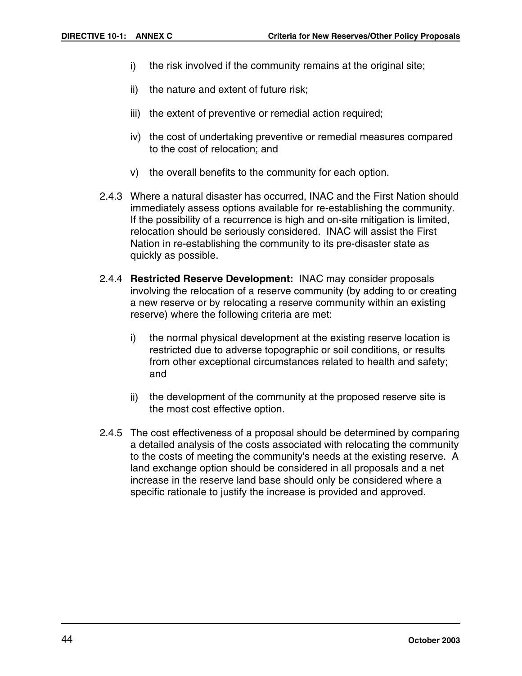- i) the risk involved if the community remains at the original site;
- ii) the nature and extent of future risk;
- iii) the extent of preventive or remedial action required;
- iv) the cost of undertaking preventive or remedial measures compared to the cost of relocation; and
- v) the overall benefits to the community for each option.
- 2.4.3 Where a natural disaster has occurred, INAC and the First Nation should immediately assess options available for re-establishing the community. If the possibility of a recurrence is high and on-site mitigation is limited, relocation should be seriously considered. INAC will assist the First Nation in re-establishing the community to its pre-disaster state as quickly as possible.
- 2.4.4 **Restricted Reserve Development:** INAC may consider proposals involving the relocation of a reserve community (by adding to or creating a new reserve or by relocating a reserve community within an existing reserve) where the following criteria are met:
	- i) the normal physical development at the existing reserve location is restricted due to adverse topographic or soil conditions, or results from other exceptional circumstances related to health and safety; and
	- ii) the development of the community at the proposed reserve site is the most cost effective option.
- 2.4.5 The cost effectiveness of a proposal should be determined by comparing a detailed analysis of the costs associated with relocating the community to the costs of meeting the community's needs at the existing reserve. A land exchange option should be considered in all proposals and a net increase in the reserve land base should only be considered where a specific rationale to justify the increase is provided and approved.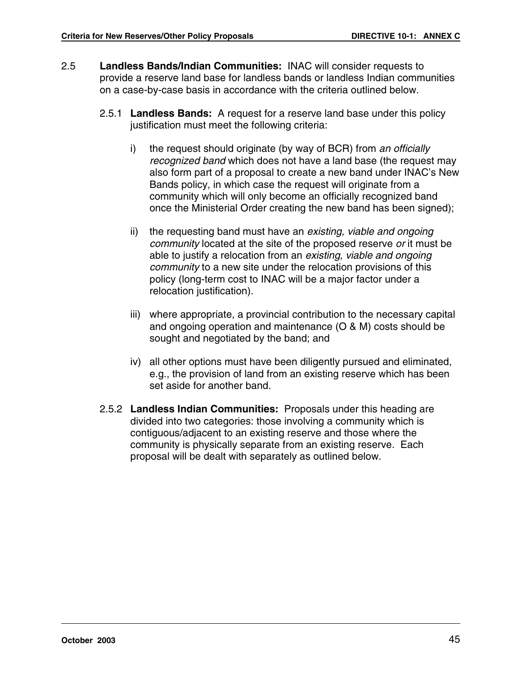- 2.5 **Landless Bands/Indian Communities:** INAC will consider requests to provide a reserve land base for landless bands or landless Indian communities on a case-by-case basis in accordance with the criteria outlined below.
	- 2.5.1 **Landless Bands:** A request for a reserve land base under this policy justification must meet the following criteria:
		- i) the request should originate (by way of BCR) from an officially recognized band which does not have a land base (the request may also form part of a proposal to create a new band under INAC's New Bands policy, in which case the request will originate from a community which will only become an officially recognized band once the Ministerial Order creating the new band has been signed);
		- ii) the requesting band must have an existing, viable and ongoing community located at the site of the proposed reserve or it must be able to justify a relocation from an existing, viable and ongoing community to a new site under the relocation provisions of this policy (long-term cost to INAC will be a major factor under a relocation justification).
		- iii) where appropriate, a provincial contribution to the necessary capital and ongoing operation and maintenance (O & M) costs should be sought and negotiated by the band; and
		- iv) all other options must have been diligently pursued and eliminated, e.g., the provision of land from an existing reserve which has been set aside for another band.
	- 2.5.2 **Landless Indian Communities:** Proposals under this heading are divided into two categories: those involving a community which is contiguous/adjacent to an existing reserve and those where the community is physically separate from an existing reserve. Each proposal will be dealt with separately as outlined below.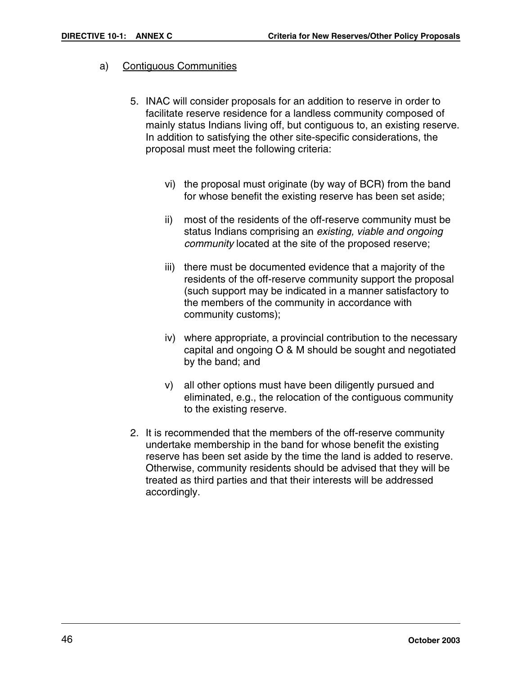#### a) Contiguous Communities

- 5. INAC will consider proposals for an addition to reserve in order to facilitate reserve residence for a landless community composed of mainly status Indians living off, but contiguous to, an existing reserve. In addition to satisfying the other site-specific considerations, the proposal must meet the following criteria:
	- vi) the proposal must originate (by way of BCR) from the band for whose benefit the existing reserve has been set aside;
	- ii) most of the residents of the off-reserve community must be status Indians comprising an existing, viable and ongoing community located at the site of the proposed reserve;
	- iii) there must be documented evidence that a majority of the residents of the off-reserve community support the proposal (such support may be indicated in a manner satisfactory to the members of the community in accordance with community customs);
	- iv) where appropriate, a provincial contribution to the necessary capital and ongoing O & M should be sought and negotiated by the band; and
	- v) all other options must have been diligently pursued and eliminated, e.g., the relocation of the contiguous community to the existing reserve.
- 2. It is recommended that the members of the off-reserve community undertake membership in the band for whose benefit the existing reserve has been set aside by the time the land is added to reserve. Otherwise, community residents should be advised that they will be treated as third parties and that their interests will be addressed accordingly.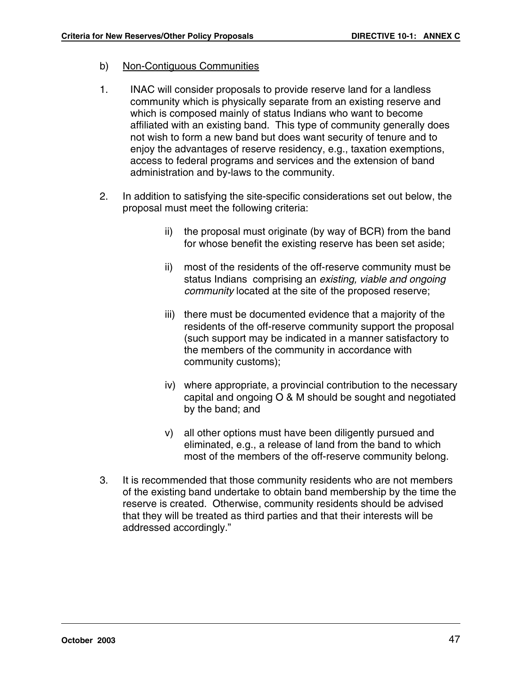#### b) Non-Contiguous Communities

- 1. INAC will consider proposals to provide reserve land for a landless community which is physically separate from an existing reserve and which is composed mainly of status Indians who want to become affiliated with an existing band. This type of community generally does not wish to form a new band but does want security of tenure and to enjoy the advantages of reserve residency, e.g., taxation exemptions, access to federal programs and services and the extension of band administration and by-laws to the community.
- 2. In addition to satisfying the site-specific considerations set out below, the proposal must meet the following criteria:
	- ii) the proposal must originate (by way of BCR) from the band for whose benefit the existing reserve has been set aside;
	- ii) most of the residents of the off-reserve community must be status Indians comprising an existing, viable and ongoing community located at the site of the proposed reserve;
	- iii) there must be documented evidence that a majority of the residents of the off-reserve community support the proposal (such support may be indicated in a manner satisfactory to the members of the community in accordance with community customs);
	- iv) where appropriate, a provincial contribution to the necessary capital and ongoing O & M should be sought and negotiated by the band; and
	- v) all other options must have been diligently pursued and eliminated, e.g., a release of land from the band to which most of the members of the off-reserve community belong.
- 3. It is recommended that those community residents who are not members of the existing band undertake to obtain band membership by the time the reserve is created. Otherwise, community residents should be advised that they will be treated as third parties and that their interests will be addressed accordingly."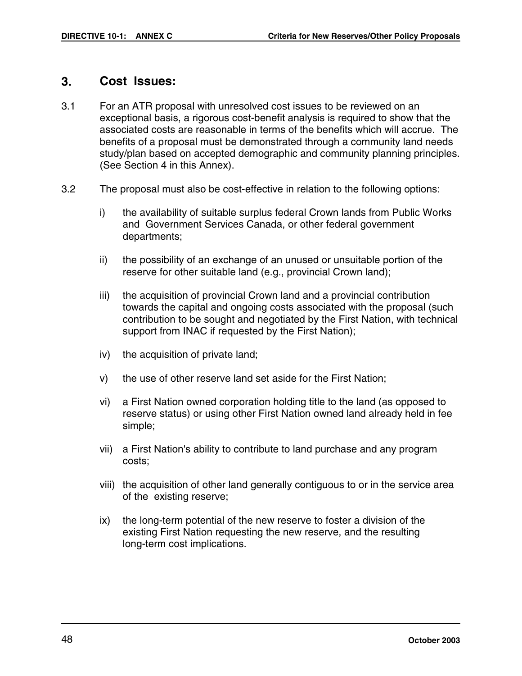### **3. Cost Issues:**

- 3.1 For an ATR proposal with unresolved cost issues to be reviewed on an exceptional basis, a rigorous cost-benefit analysis is required to show that the associated costs are reasonable in terms of the benefits which will accrue. The benefits of a proposal must be demonstrated through a community land needs study/plan based on accepted demographic and community planning principles. (See Section 4 in this Annex).
- 3.2 The proposal must also be cost-effective in relation to the following options:
	- i) the availability of suitable surplus federal Crown lands from Public Works and Government Services Canada, or other federal government departments;
	- ii) the possibility of an exchange of an unused or unsuitable portion of the reserve for other suitable land (e.g., provincial Crown land);
	- iii) the acquisition of provincial Crown land and a provincial contribution towards the capital and ongoing costs associated with the proposal (such contribution to be sought and negotiated by the First Nation, with technical support from INAC if requested by the First Nation);
	- iv) the acquisition of private land;
	- v) the use of other reserve land set aside for the First Nation;
	- vi) a First Nation owned corporation holding title to the land (as opposed to reserve status) or using other First Nation owned land already held in fee simple;
	- vii) a First Nation's ability to contribute to land purchase and any program costs;
	- viii) the acquisition of other land generally contiguous to or in the service area of the existing reserve;
	- ix) the long-term potential of the new reserve to foster a division of the existing First Nation requesting the new reserve, and the resulting long-term cost implications.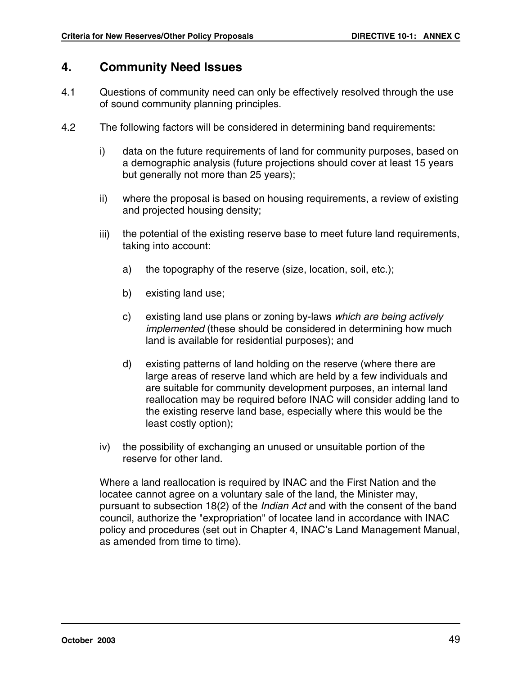### **4. Community Need Issues**

- 4.1 Questions of community need can only be effectively resolved through the use of sound community planning principles.
- 4.2 The following factors will be considered in determining band requirements:
	- i) data on the future requirements of land for community purposes, based on a demographic analysis (future projections should cover at least 15 years but generally not more than 25 years);
	- ii) where the proposal is based on housing requirements, a review of existing and projected housing density;
	- iii) the potential of the existing reserve base to meet future land requirements, taking into account:
		- a) the topography of the reserve (size, location, soil, etc.);
		- b) existing land use;
		- c) existing land use plans or zoning by-laws which are being actively implemented (these should be considered in determining how much land is available for residential purposes); and
		- d) existing patterns of land holding on the reserve (where there are large areas of reserve land which are held by a few individuals and are suitable for community development purposes, an internal land reallocation may be required before INAC will consider adding land to the existing reserve land base, especially where this would be the least costly option);
	- iv) the possibility of exchanging an unused or unsuitable portion of the reserve for other land.

Where a land reallocation is required by INAC and the First Nation and the locatee cannot agree on a voluntary sale of the land, the Minister may, pursuant to subsection 18(2) of the Indian Act and with the consent of the band council, authorize the "expropriation" of locatee land in accordance with INAC policy and procedures (set out in Chapter 4, INAC's Land Management Manual, as amended from time to time).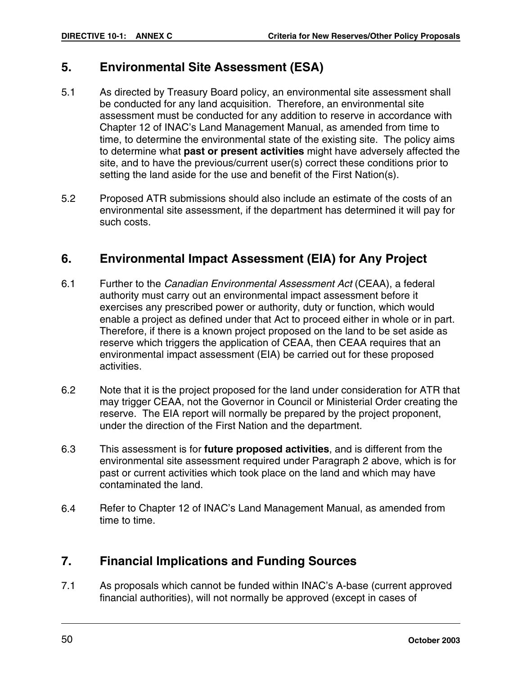### **5. Environmental Site Assessment (ESA)**

- 5.1 As directed by Treasury Board policy, an environmental site assessment shall be conducted for any land acquisition. Therefore, an environmental site assessment must be conducted for any addition to reserve in accordance with Chapter 12 of INAC's Land Management Manual, as amended from time to time, to determine the environmental state of the existing site. The policy aims to determine what **past or present activities** might have adversely affected the site, and to have the previous/current user(s) correct these conditions prior to setting the land aside for the use and benefit of the First Nation(s).
- 5.2 Proposed ATR submissions should also include an estimate of the costs of an environmental site assessment, if the department has determined it will pay for such costs.

### **6. Environmental Impact Assessment (EIA) for Any Project**

- 6.1 Further to the Canadian Environmental Assessment Act (CEAA), a federal authority must carry out an environmental impact assessment before it exercises any prescribed power or authority, duty or function, which would enable a project as defined under that Act to proceed either in whole or in part. Therefore, if there is a known project proposed on the land to be set aside as reserve which triggers the application of CEAA, then CEAA requires that an environmental impact assessment (EIA) be carried out for these proposed activities.
- 6.2 Note that it is the project proposed for the land under consideration for ATR that may trigger CEAA, not the Governor in Council or Ministerial Order creating the reserve. The EIA report will normally be prepared by the project proponent, under the direction of the First Nation and the department.
- 6.3 This assessment is for **future proposed activities**, and is different from the environmental site assessment required under Paragraph 2 above, which is for past or current activities which took place on the land and which may have contaminated the land.
- 6.4 Refer to Chapter 12 of INAC's Land Management Manual, as amended from time to time.

### **7. Financial Implications and Funding Sources**

7.1 As proposals which cannot be funded within INAC's A-base (current approved financial authorities), will not normally be approved (except in cases of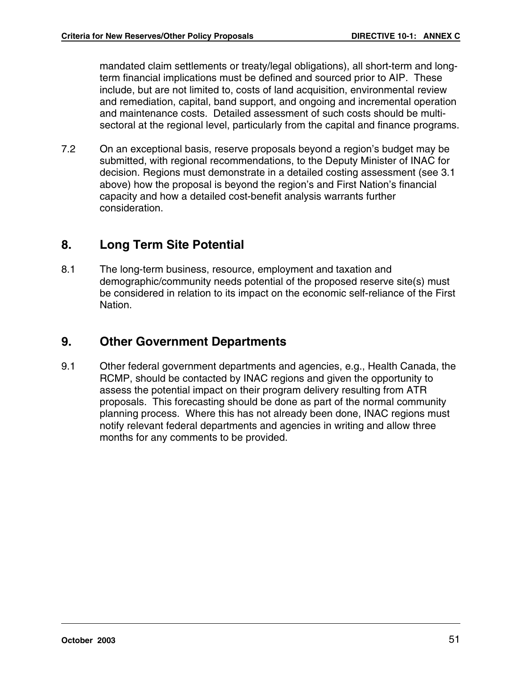mandated claim settlements or treaty/legal obligations), all short-term and longterm financial implications must be defined and sourced prior to AIP. These include, but are not limited to, costs of land acquisition, environmental review and remediation, capital, band support, and ongoing and incremental operation and maintenance costs. Detailed assessment of such costs should be multisectoral at the regional level, particularly from the capital and finance programs.

7.2 On an exceptional basis, reserve proposals beyond a region's budget may be submitted, with regional recommendations, to the Deputy Minister of INAC for decision. Regions must demonstrate in a detailed costing assessment (see 3.1 above) how the proposal is beyond the region's and First Nation's financial capacity and how a detailed cost-benefit analysis warrants further consideration.

### **8. Long Term Site Potential**

8.1 The long-term business, resource, employment and taxation and demographic/community needs potential of the proposed reserve site(s) must be considered in relation to its impact on the economic self-reliance of the First Nation.

### **9. Other Government Departments**

9.1 Other federal government departments and agencies, e.g., Health Canada, the RCMP, should be contacted by INAC regions and given the opportunity to assess the potential impact on their program delivery resulting from ATR proposals. This forecasting should be done as part of the normal community planning process. Where this has not already been done, INAC regions must notify relevant federal departments and agencies in writing and allow three months for any comments to be provided.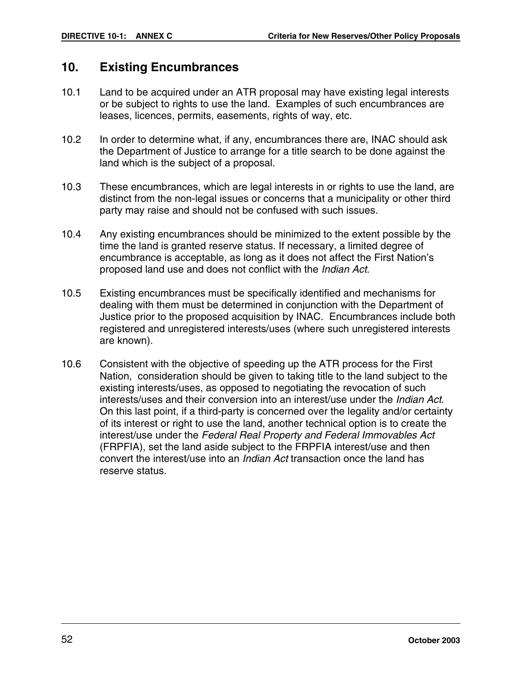### **10. Existing Encumbrances**

- 10.1 Land to be acquired under an ATR proposal may have existing legal interests or be subject to rights to use the land. Examples of such encumbrances are leases, licences, permits, easements, rights of way, etc.
- 10.2 In order to determine what, if any, encumbrances there are, INAC should ask the Department of Justice to arrange for a title search to be done against the land which is the subject of a proposal.
- 10.3 These encumbrances, which are legal interests in or rights to use the land, are distinct from the non-legal issues or concerns that a municipality or other third party may raise and should not be confused with such issues.
- 10.4 Any existing encumbrances should be minimized to the extent possible by the time the land is granted reserve status. If necessary, a limited degree of encumbrance is acceptable, as long as it does not affect the First Nation's proposed land use and does not conflict with the Indian Act.
- 10.5 Existing encumbrances must be specifically identified and mechanisms for dealing with them must be determined in conjunction with the Department of Justice prior to the proposed acquisition by INAC. Encumbrances include both registered and unregistered interests/uses (where such unregistered interests are known).
- 10.6 Consistent with the objective of speeding up the ATR process for the First Nation, consideration should be given to taking title to the land subject to the existing interests/uses, as opposed to negotiating the revocation of such interests/uses and their conversion into an interest/use under the Indian Act. On this last point, if a third-party is concerned over the legality and/or certainty of its interest or right to use the land, another technical option is to create the interest/use under the Federal Real Property and Federal Immovables Act (FRPFIA), set the land aside subject to the FRPFIA interest/use and then convert the interest/use into an Indian Act transaction once the land has reserve status.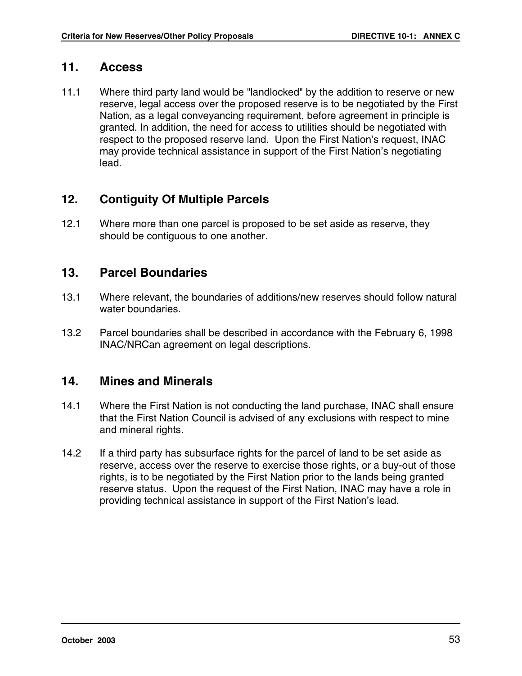### **11. Access**

11.1 Where third party land would be "landlocked" by the addition to reserve or new reserve, legal access over the proposed reserve is to be negotiated by the First Nation, as a legal conveyancing requirement, before agreement in principle is granted. In addition, the need for access to utilities should be negotiated with respect to the proposed reserve land. Upon the First Nation's request, INAC may provide technical assistance in support of the First Nation's negotiating lead.

### **12. Contiguity Of Multiple Parcels**

12.1 Where more than one parcel is proposed to be set aside as reserve, they should be contiguous to one another.

### **13. Parcel Boundaries**

- 13.1 Where relevant, the boundaries of additions/new reserves should follow natural water boundaries.
- 13.2 Parcel boundaries shall be described in accordance with the February 6, 1998 INAC/NRCan agreement on legal descriptions.

### **14. Mines and Minerals**

- 14.1 Where the First Nation is not conducting the land purchase, INAC shall ensure that the First Nation Council is advised of any exclusions with respect to mine and mineral rights.
- 14.2 If a third party has subsurface rights for the parcel of land to be set aside as reserve, access over the reserve to exercise those rights, or a buy-out of those rights, is to be negotiated by the First Nation prior to the lands being granted reserve status. Upon the request of the First Nation, INAC may have a role in providing technical assistance in support of the First Nation's lead.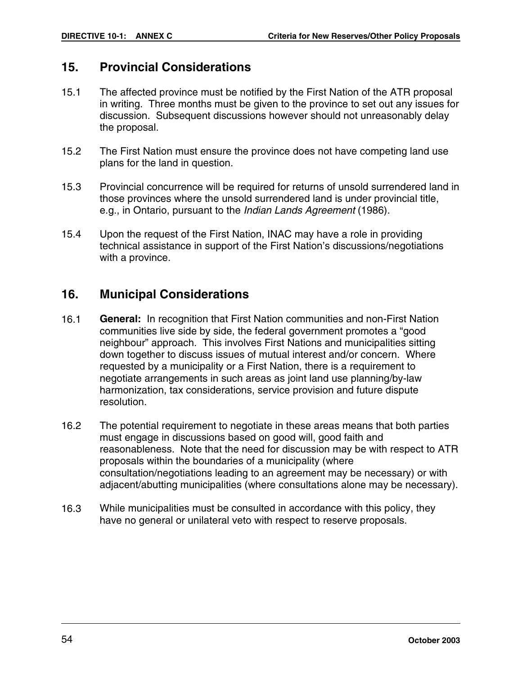### **15. Provincial Considerations**

- 15.1 The affected province must be notified by the First Nation of the ATR proposal in writing. Three months must be given to the province to set out any issues for discussion. Subsequent discussions however should not unreasonably delay the proposal.
- 15.2 The First Nation must ensure the province does not have competing land use plans for the land in question.
- 15.3 Provincial concurrence will be required for returns of unsold surrendered land in those provinces where the unsold surrendered land is under provincial title, e.g., in Ontario, pursuant to the Indian Lands Agreement (1986).
- 15.4 Upon the request of the First Nation, INAC may have a role in providing technical assistance in support of the First Nation's discussions/negotiations with a province.

### **16. Municipal Considerations**

- 16.1 **General:** In recognition that First Nation communities and non-First Nation communities live side by side, the federal government promotes a "good neighbour" approach. This involves First Nations and municipalities sitting down together to discuss issues of mutual interest and/or concern. Where requested by a municipality or a First Nation, there is a requirement to negotiate arrangements in such areas as joint land use planning/by-law harmonization, tax considerations, service provision and future dispute resolution.
- 16.2 The potential requirement to negotiate in these areas means that both parties must engage in discussions based on good will, good faith and reasonableness. Note that the need for discussion may be with respect to ATR proposals within the boundaries of a municipality (where consultation/negotiations leading to an agreement may be necessary) or with adjacent/abutting municipalities (where consultations alone may be necessary).
- 16.3 While municipalities must be consulted in accordance with this policy, they have no general or unilateral veto with respect to reserve proposals.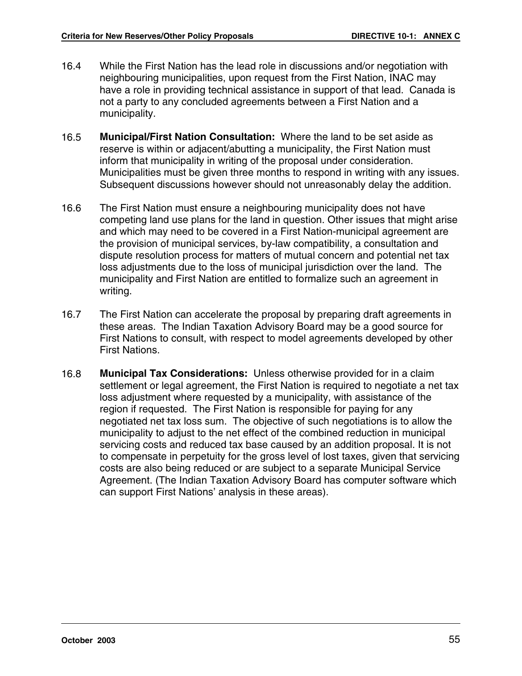- 16.4 While the First Nation has the lead role in discussions and/or negotiation with neighbouring municipalities, upon request from the First Nation, INAC may have a role in providing technical assistance in support of that lead. Canada is not a party to any concluded agreements between a First Nation and a municipality.
- 16.5 **Municipal/First Nation Consultation:** Where the land to be set aside as reserve is within or adjacent/abutting a municipality, the First Nation must inform that municipality in writing of the proposal under consideration. Municipalities must be given three months to respond in writing with any issues. Subsequent discussions however should not unreasonably delay the addition.
- 16.6 The First Nation must ensure a neighbouring municipality does not have competing land use plans for the land in question. Other issues that might arise and which may need to be covered in a First Nation-municipal agreement are the provision of municipal services, by-law compatibility, a consultation and dispute resolution process for matters of mutual concern and potential net tax loss adjustments due to the loss of municipal jurisdiction over the land. The municipality and First Nation are entitled to formalize such an agreement in writing.
- 16.7 The First Nation can accelerate the proposal by preparing draft agreements in these areas. The Indian Taxation Advisory Board may be a good source for First Nations to consult, with respect to model agreements developed by other First Nations.
- 16.8 **Municipal Tax Considerations:** Unless otherwise provided for in a claim settlement or legal agreement, the First Nation is required to negotiate a net tax loss adjustment where requested by a municipality, with assistance of the region if requested. The First Nation is responsible for paying for any negotiated net tax loss sum. The objective of such negotiations is to allow the municipality to adjust to the net effect of the combined reduction in municipal servicing costs and reduced tax base caused by an addition proposal. It is not to compensate in perpetuity for the gross level of lost taxes, given that servicing costs are also being reduced or are subject to a separate Municipal Service Agreement. (The Indian Taxation Advisory Board has computer software which can support First Nations' analysis in these areas).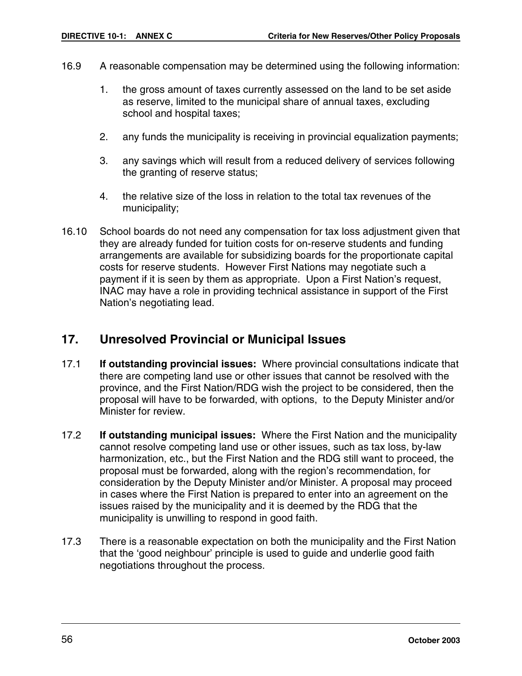- 16.9 A reasonable compensation may be determined using the following information:
	- 1. the gross amount of taxes currently assessed on the land to be set aside as reserve, limited to the municipal share of annual taxes, excluding school and hospital taxes;
	- 2. any funds the municipality is receiving in provincial equalization payments;
	- 3. any savings which will result from a reduced delivery of services following the granting of reserve status;
	- 4. the relative size of the loss in relation to the total tax revenues of the municipality;
- 16.10 School boards do not need any compensation for tax loss adjustment given that they are already funded for tuition costs for on-reserve students and funding arrangements are available for subsidizing boards for the proportionate capital costs for reserve students. However First Nations may negotiate such a payment if it is seen by them as appropriate. Upon a First Nation's request, INAC may have a role in providing technical assistance in support of the First Nation's negotiating lead.

### **17. Unresolved Provincial or Municipal Issues**

- 17.1 **If outstanding provincial issues:** Where provincial consultations indicate that there are competing land use or other issues that cannot be resolved with the province, and the First Nation/RDG wish the project to be considered, then the proposal will have to be forwarded, with options, to the Deputy Minister and/or Minister for review.
- 17.2 **If outstanding municipal issues:** Where the First Nation and the municipality cannot resolve competing land use or other issues, such as tax loss, by-law harmonization, etc., but the First Nation and the RDG still want to proceed, the proposal must be forwarded, along with the region's recommendation, for consideration by the Deputy Minister and/or Minister. A proposal may proceed in cases where the First Nation is prepared to enter into an agreement on the issues raised by the municipality and it is deemed by the RDG that the municipality is unwilling to respond in good faith.
- 17.3 There is a reasonable expectation on both the municipality and the First Nation that the 'good neighbour' principle is used to guide and underlie good faith negotiations throughout the process.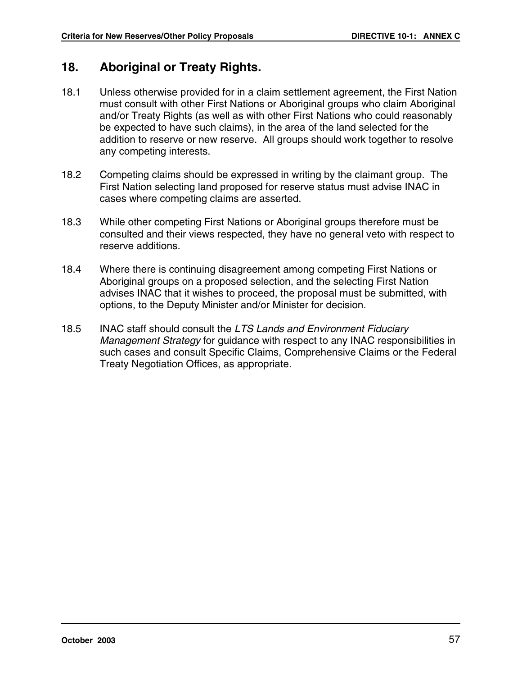### **18. Aboriginal or Treaty Rights.**

- 18.1 Unless otherwise provided for in a claim settlement agreement, the First Nation must consult with other First Nations or Aboriginal groups who claim Aboriginal and/or Treaty Rights (as well as with other First Nations who could reasonably be expected to have such claims), in the area of the land selected for the addition to reserve or new reserve. All groups should work together to resolve any competing interests.
- 18.2 Competing claims should be expressed in writing by the claimant group. The First Nation selecting land proposed for reserve status must advise INAC in cases where competing claims are asserted.
- 18.3 While other competing First Nations or Aboriginal groups therefore must be consulted and their views respected, they have no general veto with respect to reserve additions.
- 18.4 Where there is continuing disagreement among competing First Nations or Aboriginal groups on a proposed selection, and the selecting First Nation advises INAC that it wishes to proceed, the proposal must be submitted, with options, to the Deputy Minister and/or Minister for decision.
- 18.5 INAC staff should consult the LTS Lands and Environment Fiduciary Management Strategy for guidance with respect to any INAC responsibilities in such cases and consult Specific Claims, Comprehensive Claims or the Federal Treaty Negotiation Offices, as appropriate.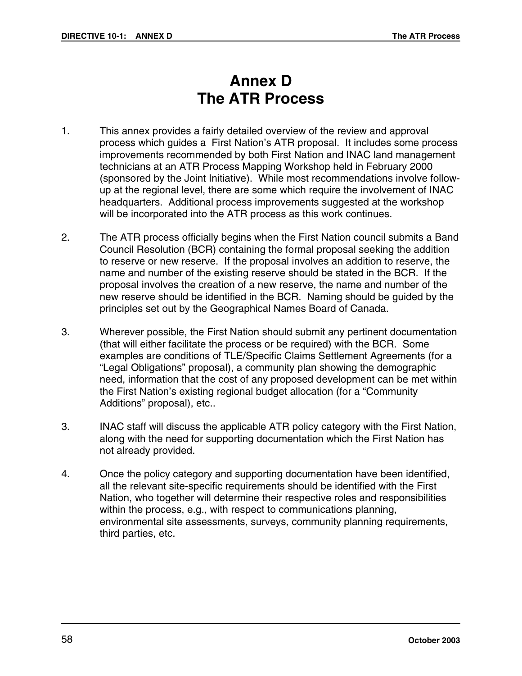# **Annex D The ATR Process**

- 1. This annex provides a fairly detailed overview of the review and approval process which guides a First Nation's ATR proposal. It includes some process improvements recommended by both First Nation and INAC land management technicians at an ATR Process Mapping Workshop held in February 2000 (sponsored by the Joint Initiative). While most recommendations involve followup at the regional level, there are some which require the involvement of INAC headquarters. Additional process improvements suggested at the workshop will be incorporated into the ATR process as this work continues.
- 2. The ATR process officially begins when the First Nation council submits a Band Council Resolution (BCR) containing the formal proposal seeking the addition to reserve or new reserve. If the proposal involves an addition to reserve, the name and number of the existing reserve should be stated in the BCR. If the proposal involves the creation of a new reserve, the name and number of the new reserve should be identified in the BCR. Naming should be guided by the principles set out by the Geographical Names Board of Canada.
- 3. Wherever possible, the First Nation should submit any pertinent documentation (that will either facilitate the process or be required) with the BCR. Some examples are conditions of TLE/Specific Claims Settlement Agreements (for a "Legal Obligations" proposal), a community plan showing the demographic need, information that the cost of any proposed development can be met within the First Nation's existing regional budget allocation (for a "Community Additions" proposal), etc..
- 3. INAC staff will discuss the applicable ATR policy category with the First Nation, along with the need for supporting documentation which the First Nation has not already provided.
- 4. Once the policy category and supporting documentation have been identified, all the relevant site-specific requirements should be identified with the First Nation, who together will determine their respective roles and responsibilities within the process, e.g., with respect to communications planning, environmental site assessments, surveys, community planning requirements, third parties, etc.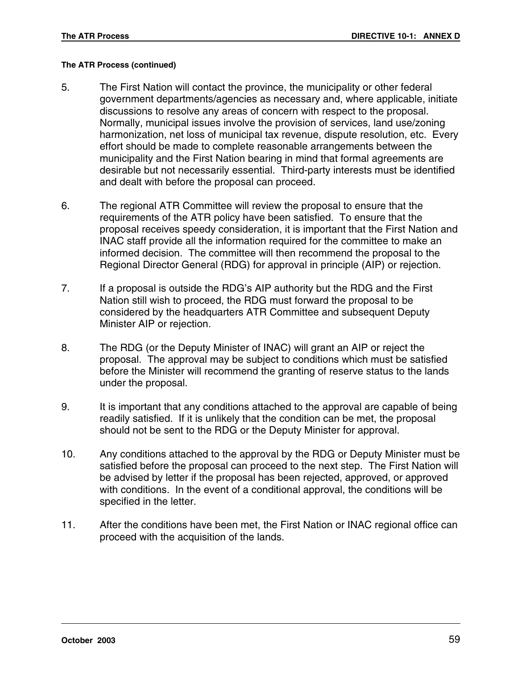#### **The ATR Process (continued)**

- 5. The First Nation will contact the province, the municipality or other federal government departments/agencies as necessary and, where applicable, initiate discussions to resolve any areas of concern with respect to the proposal. Normally, municipal issues involve the provision of services, land use/zoning harmonization, net loss of municipal tax revenue, dispute resolution, etc. Every effort should be made to complete reasonable arrangements between the municipality and the First Nation bearing in mind that formal agreements are desirable but not necessarily essential. Third-party interests must be identified and dealt with before the proposal can proceed.
- 6. The regional ATR Committee will review the proposal to ensure that the requirements of the ATR policy have been satisfied. To ensure that the proposal receives speedy consideration, it is important that the First Nation and INAC staff provide all the information required for the committee to make an informed decision. The committee will then recommend the proposal to the Regional Director General (RDG) for approval in principle (AIP) or rejection.
- 7. If a proposal is outside the RDG's AIP authority but the RDG and the First Nation still wish to proceed, the RDG must forward the proposal to be considered by the headquarters ATR Committee and subsequent Deputy Minister AIP or rejection.
- 8. The RDG (or the Deputy Minister of INAC) will grant an AIP or reject the proposal. The approval may be subject to conditions which must be satisfied before the Minister will recommend the granting of reserve status to the lands under the proposal.
- 9. It is important that any conditions attached to the approval are capable of being readily satisfied. If it is unlikely that the condition can be met, the proposal should not be sent to the RDG or the Deputy Minister for approval.
- 10. Any conditions attached to the approval by the RDG or Deputy Minister must be satisfied before the proposal can proceed to the next step. The First Nation will be advised by letter if the proposal has been rejected, approved, or approved with conditions. In the event of a conditional approval, the conditions will be specified in the letter.
- 11. After the conditions have been met, the First Nation or INAC regional office can proceed with the acquisition of the lands.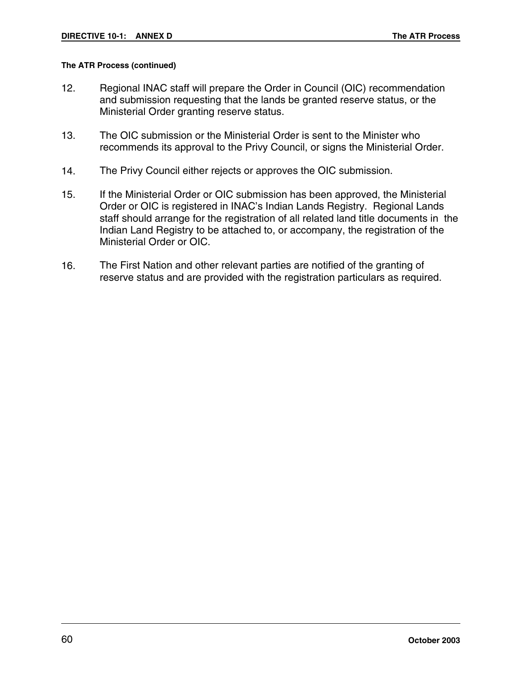#### **The ATR Process (continued)**

- 12. Regional INAC staff will prepare the Order in Council (OIC) recommendation and submission requesting that the lands be granted reserve status, or the Ministerial Order granting reserve status.
- 13. The OIC submission or the Ministerial Order is sent to the Minister who recommends its approval to the Privy Council, or signs the Ministerial Order.
- 14. The Privy Council either rejects or approves the OIC submission.
- 15. If the Ministerial Order or OIC submission has been approved, the Ministerial Order or OIC is registered in INAC's Indian Lands Registry. Regional Lands staff should arrange for the registration of all related land title documents in the Indian Land Registry to be attached to, or accompany, the registration of the Ministerial Order or OIC.
- 16. The First Nation and other relevant parties are notified of the granting of reserve status and are provided with the registration particulars as required.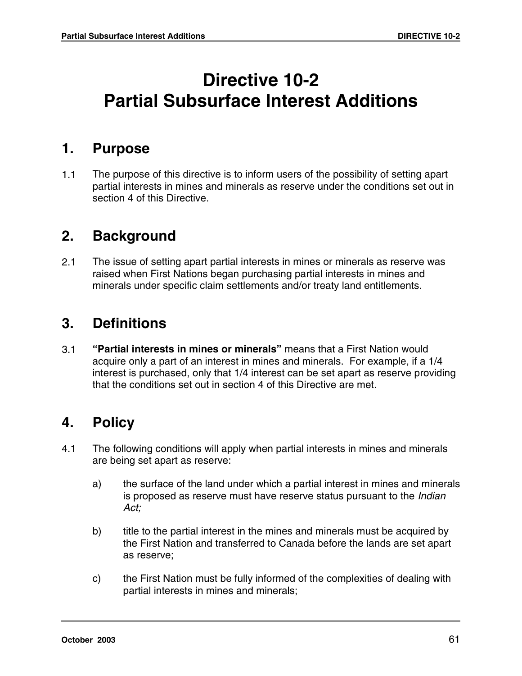# **Directive 10-2 Partial Subsurface Interest Additions**

### **1. Purpose**

1.1 The purpose of this directive is to inform users of the possibility of setting apart partial interests in mines and minerals as reserve under the conditions set out in section 4 of this Directive.

## **2. Background**

2.1 The issue of setting apart partial interests in mines or minerals as reserve was raised when First Nations began purchasing partial interests in mines and minerals under specific claim settlements and/or treaty land entitlements.

# **3. Definitions**

3.1 **"Partial interests in mines or minerals"** means that a First Nation would acquire only a part of an interest in mines and minerals. For example, if a 1/4 interest is purchased, only that 1/4 interest can be set apart as reserve providing that the conditions set out in section 4 of this Directive are met.

# **4. Policy**

- 4.1 The following conditions will apply when partial interests in mines and minerals are being set apart as reserve:
	- a) the surface of the land under which a partial interest in mines and minerals is proposed as reserve must have reserve status pursuant to the Indian Act;
	- b) title to the partial interest in the mines and minerals must be acquired by the First Nation and transferred to Canada before the lands are set apart as reserve;
	- c) the First Nation must be fully informed of the complexities of dealing with partial interests in mines and minerals;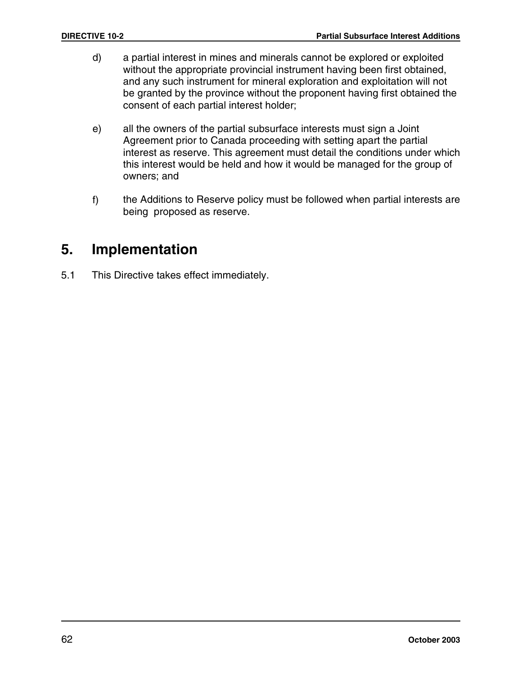- d) a partial interest in mines and minerals cannot be explored or exploited without the appropriate provincial instrument having been first obtained, and any such instrument for mineral exploration and exploitation will not be granted by the province without the proponent having first obtained the consent of each partial interest holder;
- e) all the owners of the partial subsurface interests must sign a Joint Agreement prior to Canada proceeding with setting apart the partial interest as reserve. This agreement must detail the conditions under which this interest would be held and how it would be managed for the group of owners; and
- f) the Additions to Reserve policy must be followed when partial interests are being proposed as reserve.

# **5. Implementation**

5.1 This Directive takes effect immediately.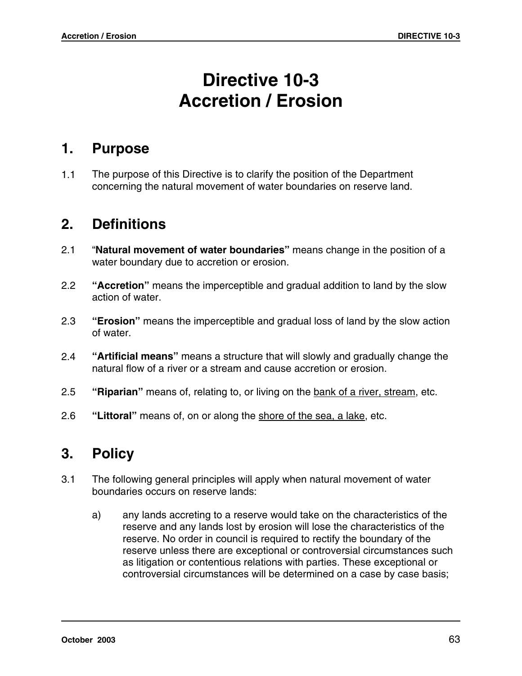# **Directive 10-3 Accretion / Erosion**

### **1. Purpose**

1.1 The purpose of this Directive is to clarify the position of the Department concerning the natural movement of water boundaries on reserve land.

# **2. Definitions**

- 2.1 "**Natural movement of water boundaries"** means change in the position of a water boundary due to accretion or erosion.
- 2.2 **"Accretion"** means the imperceptible and gradual addition to land by the slow action of water.
- 2.3 **"Erosion"** means the imperceptible and gradual loss of land by the slow action of water.
- 2.4 **"Artificial means"** means a structure that will slowly and gradually change the natural flow of a river or a stream and cause accretion or erosion.
- 2.5 **"Riparian"** means of, relating to, or living on the bank of a river, stream, etc.
- 2.6 **"Littoral"** means of, on or along the shore of the sea, a lake, etc.

# **3. Policy**

- 3.1 The following general principles will apply when natural movement of water boundaries occurs on reserve lands:
	- a) any lands accreting to a reserve would take on the characteristics of the reserve and any lands lost by erosion will lose the characteristics of the reserve. No order in council is required to rectify the boundary of the reserve unless there are exceptional or controversial circumstances such as litigation or contentious relations with parties. These exceptional or controversial circumstances will be determined on a case by case basis;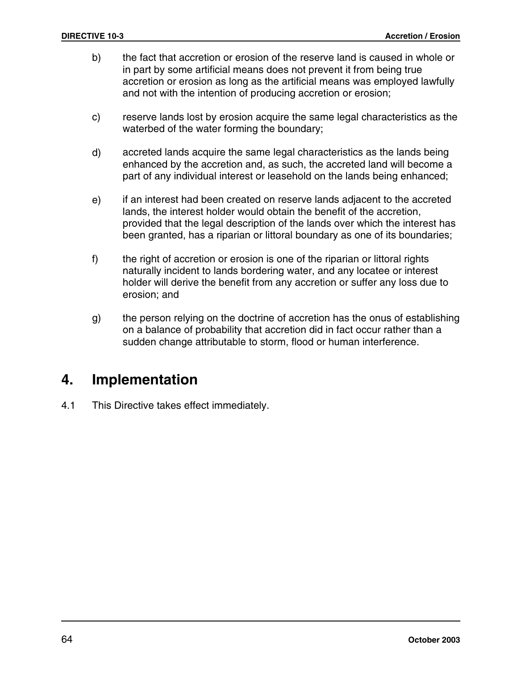- b) the fact that accretion or erosion of the reserve land is caused in whole or in part by some artificial means does not prevent it from being true accretion or erosion as long as the artificial means was employed lawfully and not with the intention of producing accretion or erosion;
- c) reserve lands lost by erosion acquire the same legal characteristics as the waterbed of the water forming the boundary;
- d) accreted lands acquire the same legal characteristics as the lands being enhanced by the accretion and, as such, the accreted land will become a part of any individual interest or leasehold on the lands being enhanced;
- e) if an interest had been created on reserve lands adjacent to the accreted lands, the interest holder would obtain the benefit of the accretion, provided that the legal description of the lands over which the interest has been granted, has a riparian or littoral boundary as one of its boundaries;
- f) the right of accretion or erosion is one of the riparian or littoral rights naturally incident to lands bordering water, and any locatee or interest holder will derive the benefit from any accretion or suffer any loss due to erosion; and
- g) the person relying on the doctrine of accretion has the onus of establishing on a balance of probability that accretion did in fact occur rather than a sudden change attributable to storm, flood or human interference.

# **4. Implementation**

4.1 This Directive takes effect immediately.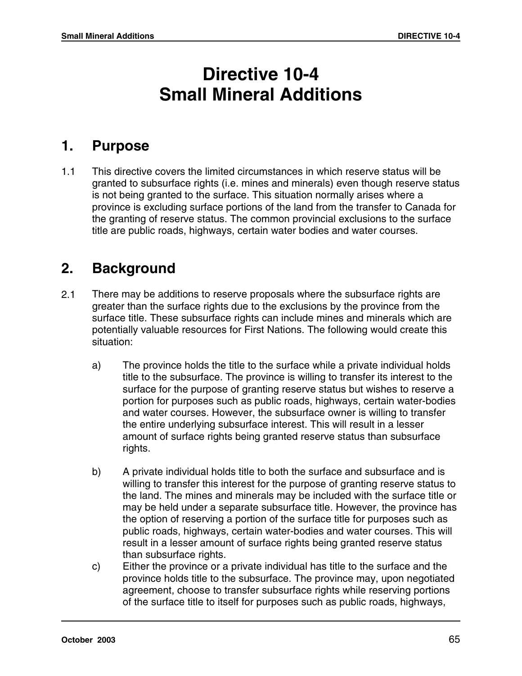# **Directive 10-4 Small Mineral Additions**

# **1. Purpose**

1.1 This directive covers the limited circumstances in which reserve status will be granted to subsurface rights (i.e. mines and minerals) even though reserve status is not being granted to the surface. This situation normally arises where a province is excluding surface portions of the land from the transfer to Canada for the granting of reserve status. The common provincial exclusions to the surface title are public roads, highways, certain water bodies and water courses.

# **2. Background**

- 2.1 There may be additions to reserve proposals where the subsurface rights are greater than the surface rights due to the exclusions by the province from the surface title. These subsurface rights can include mines and minerals which are potentially valuable resources for First Nations. The following would create this situation:
	- a) The province holds the title to the surface while a private individual holds title to the subsurface. The province is willing to transfer its interest to the surface for the purpose of granting reserve status but wishes to reserve a portion for purposes such as public roads, highways, certain water-bodies and water courses. However, the subsurface owner is willing to transfer the entire underlying subsurface interest. This will result in a lesser amount of surface rights being granted reserve status than subsurface rights.
	- b) A private individual holds title to both the surface and subsurface and is willing to transfer this interest for the purpose of granting reserve status to the land. The mines and minerals may be included with the surface title or may be held under a separate subsurface title. However, the province has the option of reserving a portion of the surface title for purposes such as public roads, highways, certain water-bodies and water courses. This will result in a lesser amount of surface rights being granted reserve status than subsurface rights.
	- c) Either the province or a private individual has title to the surface and the province holds title to the subsurface. The province may, upon negotiated agreement, choose to transfer subsurface rights while reserving portions of the surface title to itself for purposes such as public roads, highways,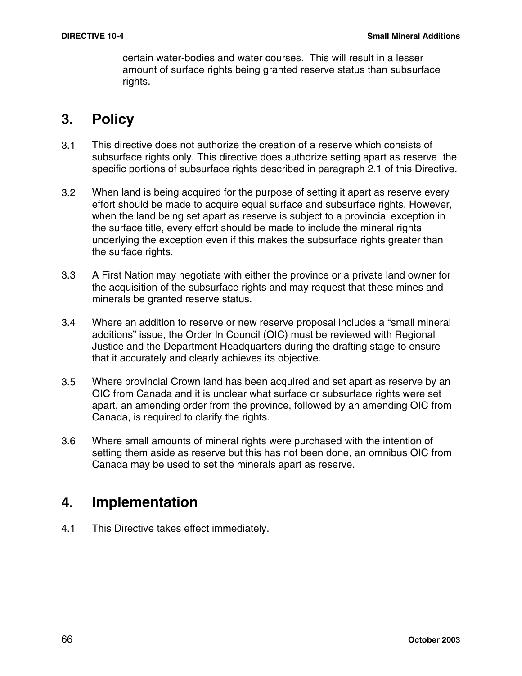certain water-bodies and water courses. This will result in a lesser amount of surface rights being granted reserve status than subsurface rights.

# **3. Policy**

- 3.1 This directive does not authorize the creation of a reserve which consists of subsurface rights only. This directive does authorize setting apart as reserve the specific portions of subsurface rights described in paragraph 2.1 of this Directive.
- 3.2 When land is being acquired for the purpose of setting it apart as reserve every effort should be made to acquire equal surface and subsurface rights. However, when the land being set apart as reserve is subject to a provincial exception in the surface title, every effort should be made to include the mineral rights underlying the exception even if this makes the subsurface rights greater than the surface rights.
- 3.3 A First Nation may negotiate with either the province or a private land owner for the acquisition of the subsurface rights and may request that these mines and minerals be granted reserve status.
- 3.4 Where an addition to reserve or new reserve proposal includes a "small mineral additions" issue, the Order In Council (OIC) must be reviewed with Regional Justice and the Department Headquarters during the drafting stage to ensure that it accurately and clearly achieves its objective.
- 3.5 Where provincial Crown land has been acquired and set apart as reserve by an OIC from Canada and it is unclear what surface or subsurface rights were set apart, an amending order from the province, followed by an amending OIC from Canada, is required to clarify the rights.
- 3.6 Where small amounts of mineral rights were purchased with the intention of setting them aside as reserve but this has not been done, an omnibus OIC from Canada may be used to set the minerals apart as reserve.

# **4. Implementation**

4.1 This Directive takes effect immediately.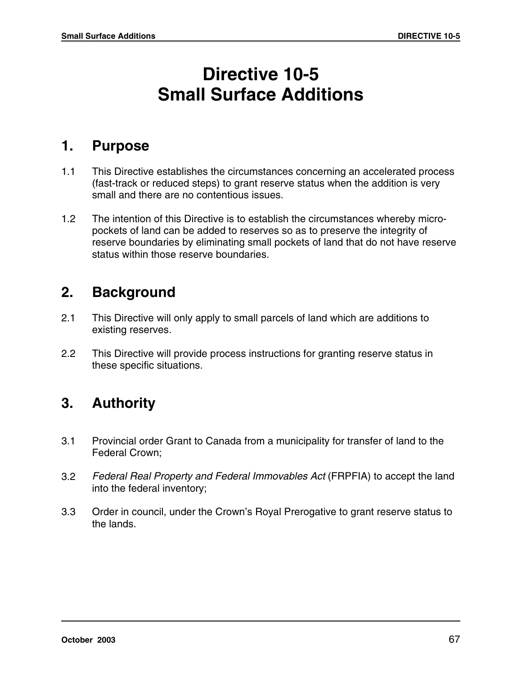# **Directive 10-5 Small Surface Additions**

## **1. Purpose**

- 1.1 This Directive establishes the circumstances concerning an accelerated process (fast-track or reduced steps) to grant reserve status when the addition is very small and there are no contentious issues.
- 1.2 The intention of this Directive is to establish the circumstances whereby micropockets of land can be added to reserves so as to preserve the integrity of reserve boundaries by eliminating small pockets of land that do not have reserve status within those reserve boundaries.

## **2. Background**

- 2.1 This Directive will only apply to small parcels of land which are additions to existing reserves.
- 2.2 This Directive will provide process instructions for granting reserve status in these specific situations.

# **3. Authority**

- 3.1 Provincial order Grant to Canada from a municipality for transfer of land to the Federal Crown;
- 3.2 Federal Real Property and Federal Immovables Act (FRPFIA) to accept the land into the federal inventory;
- 3.3 Order in council, under the Crown's Royal Prerogative to grant reserve status to the lands.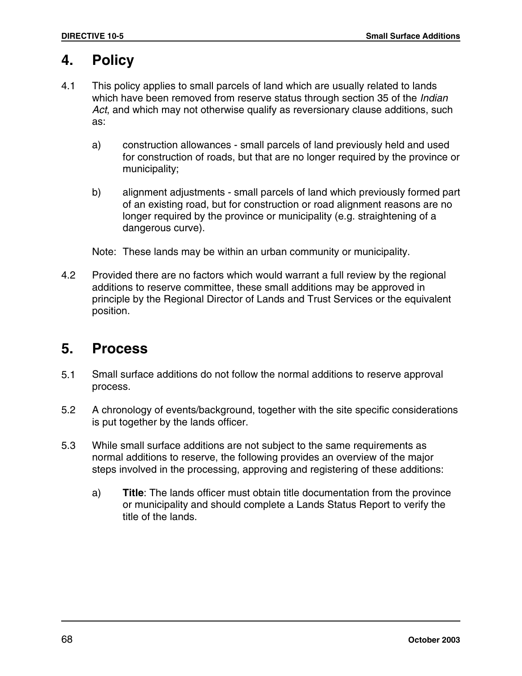# **4. Policy**

- 4.1 This policy applies to small parcels of land which are usually related to lands which have been removed from reserve status through section 35 of the Indian Act, and which may not otherwise qualify as reversionary clause additions, such as:
	- a) construction allowances small parcels of land previously held and used for construction of roads, but that are no longer required by the province or municipality;
	- b) alignment adjustments small parcels of land which previously formed part of an existing road, but for construction or road alignment reasons are no longer required by the province or municipality (e.g. straightening of a dangerous curve).

Note: These lands may be within an urban community or municipality.

4.2 Provided there are no factors which would warrant a full review by the regional additions to reserve committee, these small additions may be approved in principle by the Regional Director of Lands and Trust Services or the equivalent position.

# **5. Process**

- 5.1 Small surface additions do not follow the normal additions to reserve approval process.
- 5.2 A chronology of events/background, together with the site specific considerations is put together by the lands officer.
- 5.3 While small surface additions are not subject to the same requirements as normal additions to reserve, the following provides an overview of the major steps involved in the processing, approving and registering of these additions:
	- a) **Title**: The lands officer must obtain title documentation from the province or municipality and should complete a Lands Status Report to verify the title of the lands.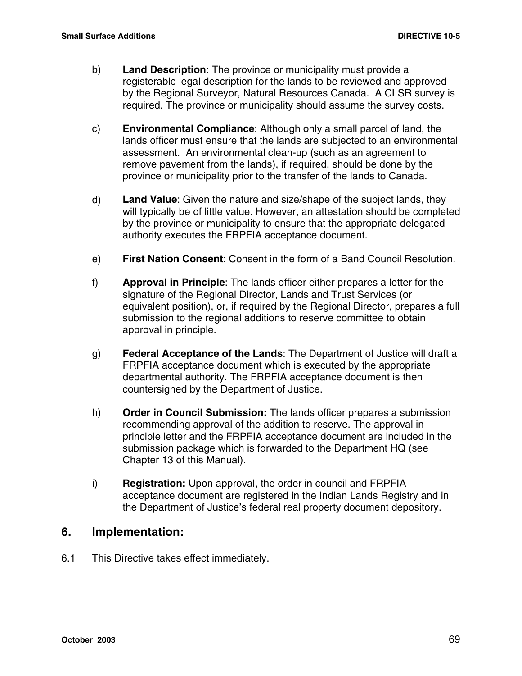- b) **Land Description**: The province or municipality must provide a registerable legal description for the lands to be reviewed and approved by the Regional Surveyor, Natural Resources Canada. A CLSR survey is required. The province or municipality should assume the survey costs.
- c) **Environmental Compliance**: Although only a small parcel of land, the lands officer must ensure that the lands are subjected to an environmental assessment. An environmental clean-up (such as an agreement to remove pavement from the lands), if required, should be done by the province or municipality prior to the transfer of the lands to Canada.
- d) **Land Value**: Given the nature and size/shape of the subject lands, they will typically be of little value. However, an attestation should be completed by the province or municipality to ensure that the appropriate delegated authority executes the FRPFIA acceptance document.
- e) **First Nation Consent**: Consent in the form of a Band Council Resolution.
- f) **Approval in Principle**: The lands officer either prepares a letter for the signature of the Regional Director, Lands and Trust Services (or equivalent position), or, if required by the Regional Director, prepares a full submission to the regional additions to reserve committee to obtain approval in principle.
- g) **Federal Acceptance of the Lands**: The Department of Justice will draft a FRPFIA acceptance document which is executed by the appropriate departmental authority. The FRPFIA acceptance document is then countersigned by the Department of Justice.
- h) **Order in Council Submission:** The lands officer prepares a submission recommending approval of the addition to reserve. The approval in principle letter and the FRPFIA acceptance document are included in the submission package which is forwarded to the Department HQ (see Chapter 13 of this Manual).
- i) **Registration:** Upon approval, the order in council and FRPFIA acceptance document are registered in the Indian Lands Registry and in the Department of Justice's federal real property document depository.

#### **6. Implementation:**

6.1 This Directive takes effect immediately.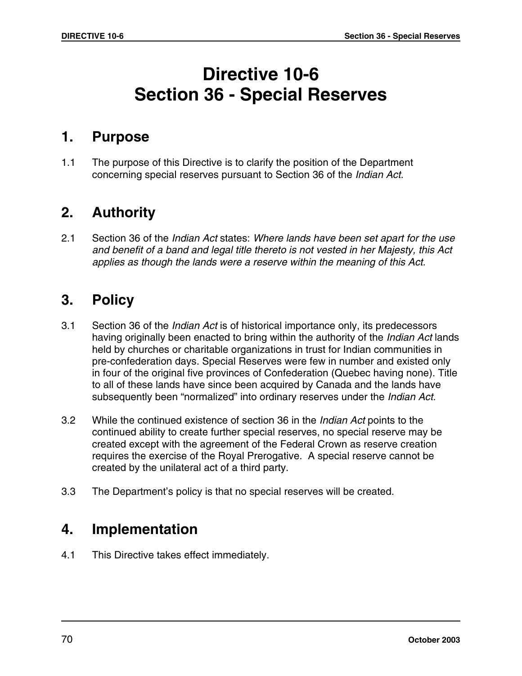# **Directive 10-6 Section 36 - Special Reserves**

## **1. Purpose**

1.1 The purpose of this Directive is to clarify the position of the Department concerning special reserves pursuant to Section 36 of the Indian Act.

# **2. Authority**

2.1 Section 36 of the Indian Act states: Where lands have been set apart for the use and benefit of a band and legal title thereto is not vested in her Majesty, this Act applies as though the lands were a reserve within the meaning of this Act.

# **3. Policy**

- 3.1 Section 36 of the Indian Act is of historical importance only, its predecessors having originally been enacted to bring within the authority of the *Indian Act* lands held by churches or charitable organizations in trust for Indian communities in pre-confederation days. Special Reserves were few in number and existed only in four of the original five provinces of Confederation (Quebec having none). Title to all of these lands have since been acquired by Canada and the lands have subsequently been "normalized" into ordinary reserves under the Indian Act.
- 3.2 While the continued existence of section 36 in the Indian Act points to the continued ability to create further special reserves, no special reserve may be created except with the agreement of the Federal Crown as reserve creation requires the exercise of the Royal Prerogative. A special reserve cannot be created by the unilateral act of a third party.
- 3.3 The Department's policy is that no special reserves will be created.

# **4. Implementation**

4.1 This Directive takes effect immediately.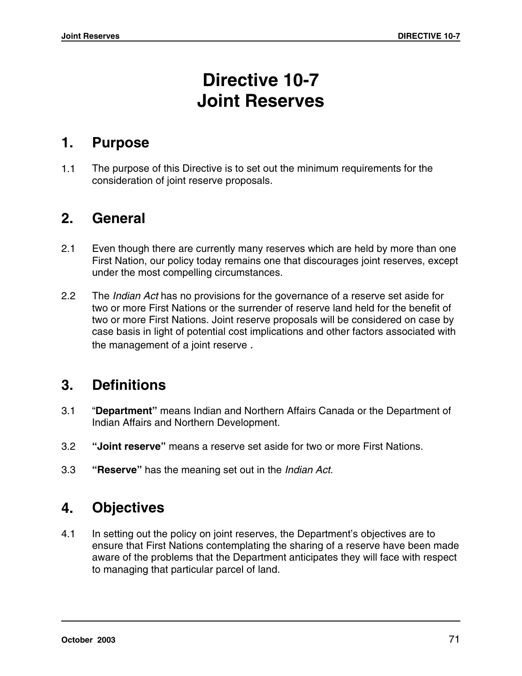# **Directive 10-7 Joint Reserves**

### **1. Purpose**

1.1 The purpose of this Directive is to set out the minimum requirements for the consideration of joint reserve proposals.

# **2. General**

- 2.1 Even though there are currently many reserves which are held by more than one First Nation, our policy today remains one that discourages joint reserves, except under the most compelling circumstances.
- 2.2 The *Indian Act* has no provisions for the governance of a reserve set aside for two or more First Nations or the surrender of reserve land held for the benefit of two or more First Nations. Joint reserve proposals will be considered on case by case basis in light of potential cost implications and other factors associated with the management of a joint reserve .

# **3. Definitions**

- 3.1 "**Department"** means Indian and Northern Affairs Canada or the Department of Indian Affairs and Northern Development.
- 3.2 **"Joint reserve"** means a reserve set aside for two or more First Nations.
- 3.3 **"Reserve"** has the meaning set out in the Indian Act.

# **4. Objectives**

4.1 In setting out the policy on joint reserves, the Department's objectives are to ensure that First Nations contemplating the sharing of a reserve have been made aware of the problems that the Department anticipates they will face with respect to managing that particular parcel of land.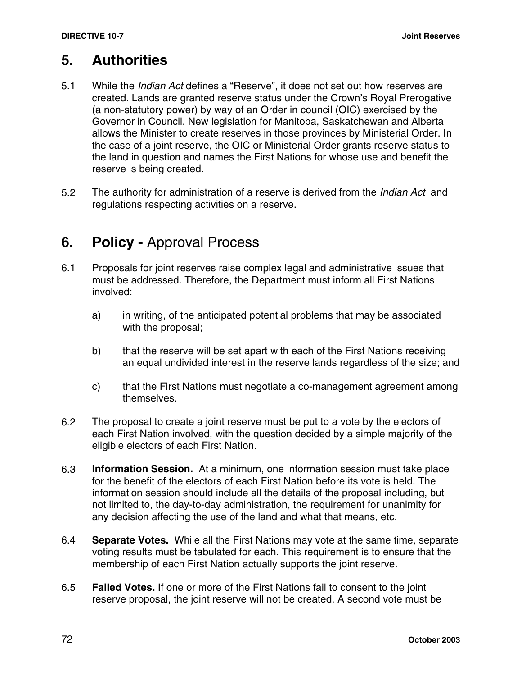# **5. Authorities**

- 5.1 While the Indian Act defines a "Reserve", it does not set out how reserves are created. Lands are granted reserve status under the Crown's Royal Prerogative (a non-statutory power) by way of an Order in council (OIC) exercised by the Governor in Council. New legislation for Manitoba, Saskatchewan and Alberta allows the Minister to create reserves in those provinces by Ministerial Order. In the case of a joint reserve, the OIC or Ministerial Order grants reserve status to the land in question and names the First Nations for whose use and benefit the reserve is being created.
- 5.2 The authority for administration of a reserve is derived from the Indian Act and regulations respecting activities on a reserve.

# **6. Policy -** Approval Process

- 6.1 Proposals for joint reserves raise complex legal and administrative issues that must be addressed. Therefore, the Department must inform all First Nations involved:
	- a) in writing, of the anticipated potential problems that may be associated with the proposal;
	- b) that the reserve will be set apart with each of the First Nations receiving an equal undivided interest in the reserve lands regardless of the size; and
	- c) that the First Nations must negotiate a co-management agreement among themselves.
- 6.2 The proposal to create a joint reserve must be put to a vote by the electors of each First Nation involved, with the question decided by a simple majority of the eligible electors of each First Nation.
- 6.3 **Information Session.** At a minimum, one information session must take place for the benefit of the electors of each First Nation before its vote is held. The information session should include all the details of the proposal including, but not limited to, the day-to-day administration, the requirement for unanimity for any decision affecting the use of the land and what that means, etc.
- 6.4 **Separate Votes.** While all the First Nations may vote at the same time, separate voting results must be tabulated for each. This requirement is to ensure that the membership of each First Nation actually supports the joint reserve.
- 6.5 **Failed Votes.** If one or more of the First Nations fail to consent to the joint reserve proposal, the joint reserve will not be created. A second vote must be